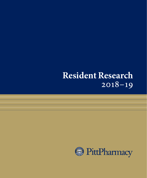# **Resident Research** 2018–19

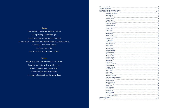|  | <b>Mission</b> |  |  |
|--|----------------|--|--|
|  |                |  |  |
|  |                |  |  |
|  |                |  |  |
|  |                |  |  |

The School of Pharmacy is committed to improving health through excellence, innovation, and leadership in education of pharmacists and pharmaceutical scientists, in research and scholarship, in care of patients, and in service to our communities.

#### **Values**

Integrity guides our daily work. We foster: Passion, commitment, and diligence; Creativity and personal growth; Collaboration and teamwork; A culture of respect for the individual.

| Message from the Dean 22 newspape of the United States and the United States and 2008.                                                                                                                                               |                |  |  |
|--------------------------------------------------------------------------------------------------------------------------------------------------------------------------------------------------------------------------------------|----------------|--|--|
| Valuing Our Partners <b>Constitution of the Constitution of the Constitution</b> of the Valuing Our Partners <b>Constitution of the Constitution</b>                                                                                 | 3              |  |  |
| Pharmacy Residency Research Program <b>Expanditure of the Contract Oracle Program</b> Pharmacy Residency Research                                                                                                                    | $\overline{4}$ |  |  |
| 2018-19 School of Pharmacy Residents                                                                                                                                                                                                 |                |  |  |
| Benedicta Asamoah 2008 - 2008 - 2019 - 2020 - 2021 - 2021 - 2021 - 2021 - 2021 - 2021 - 2021 - 2021 - 2021 - 20                                                                                                                      |                |  |  |
| John Aurora <u>(1988) 6. In the second second second second second second second second second second second second second second second second second second second second second second second second second second second sec</u> |                |  |  |
|                                                                                                                                                                                                                                      |                |  |  |
| Jennifer Bevan Maria Maria Maria Maria Maria Maria Maria Maria Maria Maria Maria Maria Maria Maria Maria Maria                                                                                                                       | 8              |  |  |
|                                                                                                                                                                                                                                      |                |  |  |
|                                                                                                                                                                                                                                      |                |  |  |
| Terrence Caldwell                                                                                                                                                                                                                    | -11            |  |  |
|                                                                                                                                                                                                                                      |                |  |  |
| Bailey Colvin 23 13                                                                                                                                                                                                                  |                |  |  |
|                                                                                                                                                                                                                                      |                |  |  |
| Taylor Dean                                                                                                                                                                                                                          | 15             |  |  |
| John Fawzy                                                                                                                                                                                                                           | <sup>16</sup>  |  |  |
| Ariel Ferdock <u>with the substitution of the substitution of the substitution of the substitution of the substitution of the substitution of the substitution of the substitution of the substitution of the substitution of th</u> | - 17           |  |  |
| Stacy Fredrick                                                                                                                                                                                                                       | - 18           |  |  |
|                                                                                                                                                                                                                                      |                |  |  |
| Victoria Gray                                                                                                                                                                                                                        | - 20           |  |  |
| Hayat Hassen                                                                                                                                                                                                                         | 21             |  |  |
|                                                                                                                                                                                                                                      | 22             |  |  |
| Alexa Hospodar Manuscritta and September 2014 and September 2014 and September 2014 and September 2014 and September 2014 and September 2014 and September 2014 and September 2014 and September 2014 and September 2014 and S       | 23             |  |  |
| Keith Hylwa 24                                                                                                                                                                                                                       |                |  |  |
| Didi Kim                                                                                                                                                                                                                             |                |  |  |
|                                                                                                                                                                                                                                      |                |  |  |
| Ariel Korlinchak                                                                                                                                                                                                                     | 27             |  |  |
|                                                                                                                                                                                                                                      | 28             |  |  |
| Amber Lapping with the communication of the communication of the communication of the communication of the communication of the communication of the communication of the communication of the communication of the communicat       | 29             |  |  |
| Joshua Maline                                                                                                                                                                                                                        | 30             |  |  |
| Meghan Martin 31                                                                                                                                                                                                                     |                |  |  |
| Caitlin McHugh                                                                                                                                                                                                                       | 32             |  |  |
|                                                                                                                                                                                                                                      | 33             |  |  |
|                                                                                                                                                                                                                                      |                |  |  |
| Lindsay Moreland                                                                                                                                                                                                                     | 35             |  |  |
| Terri Newman                                                                                                                                                                                                                         | 36             |  |  |
| Hannah Nystrom                                                                                                                                                                                                                       | 37             |  |  |
| Sehrish Panjwani                                                                                                                                                                                                                     | 38             |  |  |
| Nishta Patel                                                                                                                                                                                                                         | 39             |  |  |
| $\text{Theo Pham}_{\tiny\textsf{num}}$ . Theo Pham                                                                                                                                                                                   | 40             |  |  |
| Catherine Phi                                                                                                                                                                                                                        | $\frac{41}{2}$ |  |  |
|                                                                                                                                                                                                                                      | 42             |  |  |
| Alvaro San-Juan-Rodriguez 43                                                                                                                                                                                                         |                |  |  |
| Marilyn Schoenle                                                                                                                                                                                                                     | -44            |  |  |
| Erica Sheridan                                                                                                                                                                                                                       | 45             |  |  |
|                                                                                                                                                                                                                                      |                |  |  |
|                                                                                                                                                                                                                                      |                |  |  |
|                                                                                                                                                                                                                                      | 48             |  |  |
| Sara Weinstein 49 and the contract of the contract of the contract of the contract of the contract of the contract of the contract of the contract of the contract of the contract of the contract of the contract of the cont       |                |  |  |
| Anne Williams 50                                                                                                                                                                                                                     |                |  |  |
| Erica Wilson 51                                                                                                                                                                                                                      |                |  |  |
| Kevin Wissman 52                                                                                                                                                                                                                     |                |  |  |
| Melanie Yabs                                                                                                                                                                                                                         | 53             |  |  |
| $\label{prop:1} \textbf{Christine Z} \textbf{dani} \textbf{ewski} \textbf{}$                                                                                                                                                         | 54             |  |  |
| Contact Information 55                                                                                                                                                                                                               |                |  |  |
| Pharmacy Residency Programs                                                                                                                                                                                                          |                |  |  |
|                                                                                                                                                                                                                                      |                |  |  |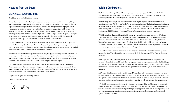### **Message from the Dean**

### **Patricia D. Kroboth, PhD**

Dear Members of the Resident Class of 2019,

Each and every one of you has distinguished yourself among pharmacy practitioners by completing a residency program. I congratulate you on completing this intensive year of learning—gaining pharmacy expertise and mastering elements of teaching and research that triangulate to better prepare you for your careers. As residents, you have enjoyed the best the academic and practice worlds have to offer through the collaborations between the School of Pharmacy and its partners— The UPMC hospitals including Presbyterian, Shadyside, Western Psychiatric Hospital, Magee-Womens Hospital, St. Margaret, McKeesport, Mercy, Hamot, and Childrens' Hospital of Pittsburgh, UPMC Health Plan, Rite Aid Corporation, Giant Eagle, Inc., Asti's South Hills Pharmacy and CVS Caremark.

You also have another distinction: as a class of residents, you made a commitment to learning clinical research skills through the Pharmacy Residency Research Program. During your career, you will be faced again and again with clinically important questions. The skills you learned created a foundation on which to build answers—and to become tomorrow's leaders in pharmacy.

We celebrate your distinction as a pharmacist who is completing your residency in one of the largest and finest programs in the country. Because of that, your personal experience has been enriched by your peers from Alabama, California, Connecticut, Georgia, Indiana, Kansas, Maryland, Massachusetts, Missouri, New York, Ohio, Pennsylvania, North Carolina, Texas, Virginia, and Washington.

You have earned one more distinction! You each have just become an alumnus of our University of Pittsburgh School of Pharmacy Residency Program and will forever be a part of our community. It is my sincere hope that you carry with you fondly the rich experiences of this past year as you launch the next phase of your career. There has never been a better time for pharmacy.

Congratulations, good luck, and keep in touch!

Let the Pitt Residents Roar!

-<br>Talricu Yaketh

# **Valuing Our Partners**

The University Pittsburgh School of Pharmacy values our partnerships with UPMC, UPMC Health Plan, Rite Aid, Giant Eagle, VA Pittsburgh Healthcare System, and CVS Caremark. It is through these partnerships that the Residency Program has grown in national reputation.

The University of Pittsburgh Medical Center is ranked among the top 10 of "America's Best Hospitals" according to the 2013 U.S. News and World Report rankings and is one of the leading integrated health care delivery systems in Western Pennsylvania. UPMC Presbyterian, UPMC Shadyside, UPMC Magee-Womens, UPMC Mercy, UPMC St. Margaret, UPMC McKeesport, UPMC Hamot, UPMC Children's Hospital of Pittsburgh, and UPMC Western Psychiatric Hospital of participate in our residency programs.

UPMC Health Plan, the second-largest health insurer in western Pennsylvania, is owned by UPMC, an integratedglobal health enterprise. The integrated partner companies of the UPMC Insurance Services Division — whichincludes UPMC Health Plan, UPMC WorkPartners, LifeSolutions (EAP), UPMC for You (Medical Assistance), andCommunity Care Behavioral Health — offer a full range of group health insurance, Medicare, Special Needs, CHIP, Medical Assistance, behavioral health, employee assistance, and workers' compensation products and services to nearly 3.4 million members.

Rite Aid Corporation is one of the nation's leading drugstore chains with nearly 2,600 stores in 30 states and the District of Columbia, with a strong presence on both the East Coast and West Coast, and 60,800 associates.

Giant Eagle Pharmacy is a leading regional pharmacy with departments in 216 Giant Eagle locations across five states.Customers with qualifying prescriptions benefit from programs including the Giant Eagle \$4/\$10 generic prescriptionprogram, free prenatal vitamins, and high-quality service from expertly trained pharmacists. Additional unique services include Specialty Pharmacy offerings, in-store immunizations, and more.

Asti's South Hills Pharmacy, located in Pittsburgh, PA, is an innovative community pharmacy providing excellent patient care in a family atmosphere. Services include comprehensive medication and chronic care management, extensive immunization services, compounding, HIV specialty care, disease state education programs, medication synchronization and specialty packaging as well as traditional dispensing services.

CVS Health is the nation's premier integrated pharmacy services provider, combining one of the nation's leading pharmaceutical services companies with the country's largest pharmacy chain. CVS Health drives value for pharmacy services customers by effectively managing pharmaceutical costs and improving health care outcomes through itsretail stores, pharmacy benefit management division, and mail service and specialty pharmacy division.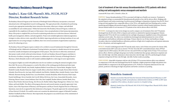### **Pharmacy Residency Research Program**

# **Sandra L. Kane-Gill, PharmD, MSc, FCCM, FCCP Director, Resident Research Series**

The Residency Research Program at the University of Pittsburgh School of Pharmacy incorporates a structured educational series with longitudinal research working groups. This approach provides a foundation for performing research, gives appropriate mentorship, fosters interactive discussions, allows peer critiques, and individual accountability for each resident project. Within the framework of the Residency Research Program, residents are responsible for the completion of all aspects of their project, from conceptualization to final manuscript preparation. Many of the projects completed this year focused on optimizing medication use in infectious diseases, behavioral health, pain management, diabetes, and anticoagulation. Projects also included application of pharmacogenomics; strategies to reduce adverse events, especially in the elderly; improving medication use during transitions of care; and opportunities for cost saving strategies. In addition, there were several assessments of opportunities in pharmacy practice for enhancing services.

The Residency Research Program requires residents to be certified in research fundamentals through the University of Pittsburgh and the Collaborative Institutional Training Initiative, participate in valuable interactive lectures geared toward the scientific development and management of their projects. They also learn to effectively communicate their project results in both verbal and written formats. Overall, our Residency Research Program contributes to the diversity of residency training with our partners in collaboration with the University of Pittsburgh School of Pharmacy, which ultimately results in well-rounded candidateseligible for a wide range of career opportunities.

Our program is highly successful with publication rates for our residents exceeding the national averageby at least three-fold. The success of this program is a result of the efforts of the working group facilitatorsand other major contributors: Alfred L'Altrelli, Amy Donihi, Stephanie Ballard, Gerard Mascara, Clayton Burke, Meaghan Voycik, Elizabeth Cassidy, Branden Nemecek, Gregory Castelli, Rebecca Morchied, Matthew Joseph, Patricia Klatt, Kristine Schonder, Ryan Rivosecchi, Ana Lupu, Kelli Lombardi, Josef Berletic, Madalyn Bates, Jennifer Heasley, Louise-Marie Oleksiuk, Marianne Koenig, Rachael Ours, Lucas Berenbrok, Amanda McQuillan, Robert Kozarian, Brad Cooper, Pamela Smithburger, Steven Ganchuk, Joni Carroll, Melissa McGivney, Jim Coons, Inmaculada Hernandez, Aaron Pickering, Sharon Connor, Lauren Jonkman, Kim Coley, Ron Campbell, Heather Johnson, Jennifer Shenk, Erica Martin, Brian Potoski, Marianne Koenig, Alex Rivosecchi, Heather Sakely, Megan Baumgartner, Chelsea Carr, Tanya Fabian, and Sarah Moffett. The efforts of the program directors and research mentors are greatly appreciated. Amy Seybert, chair of the Department of Pharmacy and Therapeutics and Bryan Yourich, Regional Director of Pharmacy Operations, must also be recognized for their dedication to the program. We greatly appreciate the continued support of Dean Patricia D. Kroboth. We would be remiss not to mention the administrative support of Metanthi Tzanakos, Matthew Freidhoff and Sherri Peterson. Most importantly, this program is successful because of the commitment of our outstanding residents.

### Cost of treatment of low risk venous thromboembolism (VTE) patients with direct acting oral anticoagulants versus enoxaparin and warfarin

Asamoah BW, Kane-Gill S, L'Altrelli A, Kloet, M.

**PURPOSE:** Venous thromboembolism (VTE) is associated with high use of health care resources. Treatment in the outpatient setting is recommended for hemodynamically patients at low risk for adverse effects. Bridging with parental heparin and routine monitoring of warfarin present challenges to disposition of patients from the ED. Direct acting oral anticoagulants have comparable efficacy to the VKAs, with significantly lower bleeding and no routine monitoring and bridging with parenteral agents which facilitates treatment without hospital admission. However, thereare limited studies of cost outcomes in VTE patients at low risk for adverse effects with DOAC.

**METHODS:** A retrospective chart review design was used to compare cost of treatment of low-risk VTE patients discharged from the ED with a DOAC or heparin and warfarin or admitted for inpatient management. Patients diagnosed with VTE in the ED were stratified into low and high-risk group per simplified version of the pulmonary embolism severity index. The cohorts was stratified into discharged and admitted patients for review of their anticoagulants and healthcare utilization and charges. Primary objective was 30 days total healthcare charges. Secondary objectives included healthcare utilization, predictors of high-risk of complications and inpatient admission for low risk patients, and anticoagulant used.

**RESULTS:** Overall, 13,438 diagnosed with VTE met the study criteria, 1,411 of whom were positive for chronic (303), acute/indeterminate (1057) and acute on chronic VTE (52). Out of the 1057 acute/indeterminate cohort, 839 had complete data for sPESI analysis; 202 (24%) were low-risk and 637(76%) were high-risk for 30-days VTE recurrence/ adverse effects. Both low and high-risk groups were further stratified into three groups: admission to inpatient unit [low-risk (162); high -risk (561)], admission to observation [low-risk (21); high -risk (37)], and discharged to home/ outpatient setting from ED [low-risk (19); high -risk (40)]. Further results are pending

**CONCLUSIONS:** About 80% of patients with low-risk of 30 days VTE recurrence/adverse effects were admitted, in comparison to 9.4% who were discharged from the ED. Similarly, a higher proportion of high-risk patients were admitted (88%) in comparison to the discharged patients 6.27%. Predictors of inpatient admission for low-risk patients, predictors of discharge for high-risk patients and further conclusion are pending.



#### **Benedicta Asamoah**

Benedicta received her PharmD from the University Of Maryland School Of Pharmacy in 2017 and is completing a health-system pharmacy administration residency at UPMC in 2019. Upon completion of the residency, she plans to practice in a hospital setting.

Mentor(s): Sandra Kane-Gill, PharmD, MS, FCCM, FCCP; Megan Kloet, PharmD, BCPS; Alfred L'Altrelli, PharmD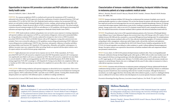#### Opportunities to improve HIV prevention curriculum and PrEP utilization in an urban family health center

Aurora JA, Ballard SL, Salter C, Skinker BM

**PURPOSE:** Pre-exposure prophylaxis (PrEP) is a method used to prevent the transmission of HIV in patients at substantial risk of infection. The FDA approved a fixed-dose combination of tenofovir disoproxil fumarate (TDF) and emtricitabine (FTC) in 2012 for PrEP. Since 2013, Shadyside family medicine residency has incorporated PrEP into patient care and medical resident training through didactic lectures, readings, and precepting, meeting 2016 AAFP curriculum guidelines. Despite the proven efficacy of PrEP, it remains underutilized in practice. This mixed-methods evaluation assessed training strategies for PrEP use and adherence to CDC guidelines with the goal of increasing PrEP utilization and improving the quality of PrEP management at Shadyside Family Health Center (SFHC).

**METHODS:** SFHC family medicine residents and graduates were surveyed to assess exposure to training components, self-reported confidence and competency in PrEP use, and retention of diagnostic criteria and recommended followup. A drug utilization evaluation (DUE) was also conducted by retrospective chart review at SFHC for patients prescribed TDF/FTC from 7/1/2012 to 6/30/2018. Patients with an HIV diagnosis or using other antiretrovirals were excluded. Charts were reviewed for adherence to CDC guidelines on prescribing and monitoring of PrEP. Adherence to prescribing practices includes proper TDF/FTC dose, directions, and quantity. Adherence to baseline and followup testing includes renal function, HIV, hepatitis B, STDs (gonorrhea, chlamydia, and syphilis), and pregnancy. In addition, encounter types were compared for follow-up testing. Results are reported with descriptive statistics and a chi-square analysis was used for between-group comparisons.

**RESULTS:** Eighty physicians were surveyed. Survey response rate was 56.3%. Of the respondents, 46.7% have prescribed PrEP and 55.5% self-assessed as competent to prescribe PrEP. Respondents exposed to all 3 training types were significantly more likely to self-assess as competent (p<0.05). Those self-assessed as competent were more likely to correctly identify 4+ follow-up testing guidelines (p<0.05). DUE identified 68 patients; 98.5% MSM. Baseline testing ranged from 79.4% (HIV screening) to <20% (hepatitis B.) Testing was less likely to be completed at follow-up vs. baseline (p<0.05). Follow-up testing was more likely to be completed at in-person office visits vs. non-office visits  $(p<0.05)$ .

**CONCLUSION:** PrEP training resulted in self-reported competence in about half of survey respondents. Chart review revealed gaps in adherence to prescribing & monitoring of PrEP, indicating a need for increased physician training and practice supports. PrEP is underutilized at SFHC, especially in non-LGBTQ+ patients. Training efforts should include adequate patient care experience with skilled preceptors, in addition to readings and didactics.

*Presented at the 1st Annual UPMC Family Medicine Scholarship Day in Altoona, PA, on May 10, 2019*



#### **John Aurora**

John is from Wallingford, CT, and received his PharmD from the University of Connecticut. He completed a PGY1 community pharmacy resident at St. Vincent's Medical Center in Bridgeport, CT. His professional interests include chronic disease state management, transitions of care, and academia. Upon completion of his ambulatory care residency, he plans to practice as a clinical pharmacist in an outpatient clinic.

#### Characterization of immune-mediated colitis following checkpoint inhibitor therapy in melanoma patients at a large academic medical center

Melissa L. Bastacky, PharmD; Gerard P. Mascara, PharmD, BCOP; Timothy L. Brenner, PharmD, BCOP; Diwakar Davar, MD, MBBS, MSc

**PURPOSE:** Immune checkpoint inhibitor (ICI) therapy has revolutionized the treatment of multiple cancer types by producing durable responses in a subset of patients. ICIs are first-line therapy for patients with metastatic melanoma and have improved overall survival and progression-free survival compared to standard chemotherapy. However, ICI therapy is associated with unique immune-related adverse events (irAEs), resulting in treatment discontinuation in 25%-58% of patients. Among various irAEs, colitis occurs in 8-27% of patients treated with ICIs and is among the most difficult to treat. We evaluated characteristics of immune-mediated colitis in patients with advanced melanoma treated with ICIs.

**METHODS:** We performed a chart review of 183 sequential melanoma patients at the University of Pittsburgh Medical Center Hillman Cancer Center Melanoma Program who received at least 1 dose of ICI therapy with a PD-1 and/or CTLA-4 inhibitor between 2011-2018 and who consented to a concurrent IRB approved tissue banking study. We excluded patients who did not develop immune-mediated colitis on ICIs. Data collection included demographics, ICI treatment, incidence and grading of colitis, management, colonoscopy and/or biopsy results, relevant labs, and known and exploratory predictive factors of colitis. Colitis was defined by the ASCO irAE Clinical Practice Guideline and graded per the NCI CTCAE v5.0. Steroid responders were defined as colitis resolution to  $\leq$  grade 1 without additional immunosuppressive therapy. Descriptive statistics were reported for characteristics of immune-mediated colitis and comparisons utilized non-parametric statistical tests.

**RESULTS:** In our cohort, 23 of 183 (12.6%) patients developed immune-mediated colitis. Those receiving Ipilimumab/ Nivolumab combination therapy developed higher grade colitis (grade >3: 100%) with an earlier onset (median onset: 48 days) compared with those receiving monotherapy with either Ipilimumab (grade  $\geq$ 3: 42.9%, median onset: 106 days) or a PD-1 agent (grade >3: 11.1%, median onset: 202 days). 17 of 21 (81%) colitis events treated with systemic steroids were responsive to steroid therapy. Patients who were re-challenged with the same ICI after a delay in treatment (n=4) due to colitis did not experience recurrent colitis.

**CONCLUSIONS:** Consistent with irAE literature in melanoma patients undergoing ICI therapy, Ipilimumab/Nivolumab combination therapy produces a greater incidence of higher grade colitis than ICI monotherapy. Patients on combination therapy may derive benefit from closer monitoring within the first 3 months of treatment. Although the literature is inconclusive, our results suggest that those who develop colitis with resolution to grade  $\leq 1$ , may be re-challenged with the same or a different ICI in the future with low risk of development of a recurrent episode of immune-mediated colitis.

*Presented at Hematology/Oncology Pharmacy Association Annual Conference, Fort Worth, TX, April 3-6, 2019.*



### **Melissa Bastacky**

Melissa is a PGY2 Oncology Pharmacy Resident at UPMC-Shadyside Hospital. She completed her undergraduate and pharmacy school training at the University of Pittsburgh and her PGY1 Pharmacy Residency at UPMC-Presbyterian Hospital. Her current interests lie in oncology, immunology, and pharmacogenomics.

6 7 Mentor(s): Stephanie Ballard, PharmD, BCPS; Deanne Hall, PharmD, BCACP, CDE Mentor(s): Timothy L. Brenner, PharmD, BCOP; Gerard P. Mascara, PharmD, BCOP; James J. Natale, PharmD, BCOP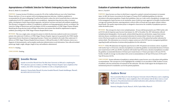#### Appropriateness of Antibiotic Selection for Patients Undergoing Cesarean Section

Bevan JL, Burke CX, Zaradzki KS

**PURPOSE:** Cesarean Section (CS) delivery accounts for 32% of the 4 million births per year in the United States. Women who have a CS are at a greater risk for developing postpartum infections. Antibiotic prophylaxis is recommended for all women undergoing CS and has been found to reduce the risk of wound infections or infectious complications by 60-70% compared to placebo or no prophylaxis. Appropriate drug selection reduces treatment failure, development of multi-drug resistant organisms, and adverse reactions associated with antibiotic prophylaxis. This QI project is designed to evaluate if CS prophylactic antibiotics are being appropriately selected, according to The American College of Obstetricians and Gynecologists (ACOG) recommendations, at UPMC Magee Womens Hospital. Identifying the drug selection trends will help to determine interventions that should be implemented to improve antibiotic prescribing in the UPMC Magee Womens Hospital Birth Center.

**METHODS:** This was a single center, retrospective project in which the electronic medical records were reviewed of patients who underwent CS delivery at UPMC Magee Womens Hospital. Approval was granted by the UPMC Quality Improvement Review Board prior to beginning the project. Patient were included in the study if they underwent CS delivery at UPMC Magee Womens Hospital between January 1, 2018 and December 31, 2018. Exclusion criteria was a diagnosis of chorioamnionitis, and incomplete medication administration record information. Data collected included patient age, height, weight, allergies, length of stay, and antibiotics administered.

**RESULTS:** Pending

**CONCLUSIONS:** Pending



#### **Jennifer Bevan**

Jennifer received her PharmD from The Ohio State University in 2018 and is completing her PGY-1 pharmacy practice residency at UPMC Magee Womens Hospital. Upon completion of her residency, she will be returning to Columbus to work as a hospital pharmacist.

Mentor(s): Clayton Burke PharmD, Krystina Zaradzki PharmD, Pamela Smithburger, PharmD, MS, BCPS, BCCCP, FCCP, FCCM

#### Evaluation of systemwide open fracture prophylaxis practices

#### Bever A, Voycik M

**PURPOSE:** Open fractures are those in which bone is exposed to a patient's external environment via traumatic injury. In 2011, the Eastern Association for the Surgery of Trauma (EAST) published guidelines for infection prevention in this patient population. Despite these guidelines, there are a wide variety of prophylactic strategies used in the management of open fractures at our institution, many of which are more aggressive in breadth of antimicrobial coverage and treatment duration, exposing patients to adverse effects of broad-spectrum agents without evidencebased benefit. This quality improvement project is designed to characterize the variability of prophylaxis practices within the health system.

**METHODS:** This retrospective chart review included patients ~18 years old that presented to any UPMC facility with an ICD-10 code for long bone open fracture from January 1st, 2017 to December 31st, 2017. Information collected included patient demographics, fracture grade, antimicrobial drug selection and duration, surgical intervention, infectious disease consultation, and concomitant indications for antimicrobials. Patients were excluded from review if the fracture grade was not documented in the medical record or if the patient had another indication for antimicrobials. This information was reviewed to compare system use to the EAST practice management guidelines regarding breadth and duration of antimicrobial prophylaxis for this indication.

**RESULTS:** Of the 398 admissions for long bone open fracture in 2017, 192 patients met inclusion criteria. In patients with Gustilo Type I or II fractures, duration of prophylaxis exceeded the guideline-recommended duration of 24 hours post-wound closure in 109 cases (83.8%). In patients with Gustilo Type III fractures, duration of prophylaxis exceeded the guideline-recommended duration of 24 hours post-wound closure or 72 hours post-injury in 58 cases (93.5%). Further, breadth of coverage was discordant with current recommendations in 48 Type I/II fractures (33.1%) and 9 Type III fractures (14.5%).

**CONCLUSIONS:** System utilization of prophylactic antimicrobials in open fracture care is discordant with guideline recommendations. This retrospective review highlighted the variability of care provided at UPMC facilities in terms of antibiotic selection and duration of treatment for this indication. This data would support the development of an institutional protocol to standardize care for this patient population.



#### **Andrew Bever**

Drew received his Pharm.D. from the Duquesne University School of Pharmacy and is completing his PGY-1 at UPMC Mercy. Upon completion, Drew will continue with the Mercy team as a Lead Pharmacist. His professional interests include medication safety, pharmacy informatics, and health-system administration.

Mentor(s): Meaghan Voycik, Pharm.D., BCPS; Taylor Miller, Pharm.D.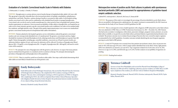#### Evaluation of a Geriatric Correctional Insulin Scale in Patients with Diabetes

E. Bobrzynski, E. Cassidy, A. Donihi, F. D'Amico

**PURPOSE:** Hypoglycemia is a serious adverse event of insulin therapy in hospitalized older adults (≥65 years-old). This age group is especially vulnerable due to the increased prevalence of multiple comorbidities, polypharmacy, malnutrition, and frailty. Therefore, cautious dosing of insulin is warranted in older adults. In the hospital setting, insulin correctional scale is often used in combination with scheduled basal insulin to manage hyperglycemia. Correctional scale can also be used as insulin monotherapy for a short period of time in hyperglycemic patients whose insulin requirements are unknown. Given increased susceptibility of older adults to hypoglycemia, our hospital has an order set for a lower intensity, geriatric-specific correctional insulin scale in addition to an order set for standard adult low, moderate, and high intensity scales. The goal of this quality improvement project was to assess our standardized geriatric correctional insulin protocol in hospitalized older adults with diabetes.

**METHODS:** Patients admitted to the hospital's geriatrics service with diabetes ordered the geriatric correctional insulin scale were retrospectively identified over a 12-month period. The geriatric correctional scale has a higher threshold for treatment of elevated blood glucose levels, delaying insulin doses until blood glucose is greater than 200 mg/dL. Patient demographics including age, comorbid conditions, concurrent use of basal or premix insulin, preadmission diabetes regimen (if any), and reason for admission will be collected. Prevalence of hypoglycemia (blood glucose (BG) <70 mg/dL), severe hypoglycemia (BG <54 mg/dL), hyperglycemia (BG >180 mg/dL), and need to switch scales will be analyzed.

**RESULTS:** We anticipate low rates of hypoglycemia with the geriatric scale; however, we suspect that many patients may be switched from the geriatric to a standard scale for escalation in therapy. We anticipate determining the prevalence of hypoglycemia and hyperglycemia in this population.

**CONCLUSIONS:** There is a need for careful use of insulin in older adults. Next steps could include determining which older adults are most likely to benefit from use of the geriatric scale.



#### **Emily Bobrzynski**

Emily Bobrzynski is from Pittsburgh, Pennsylvania. She received her PharmD from the University of Pittsburgh School of Pharmacy. She completed her PGY1 residency training at UPMC St. Margaret. This year, she is continuing her training as a PGY2 in geriatrics at UPMC St. Margaret. After completing her PGY2, she will be an Inpatient Heart Failure Clinical Pharmacy Specialist with Allegheny Health Network at Forbes Hospital. Her professional interests include transitions of care, deprescribing, interprofessional education.

Mentor(s): Elizabeth Cassidy, PharmD, BCPS

#### Retrospective review of positive ascitic fluid cultures in patients with spontaneous bacterial peritonitis (SBP) and assessment for appropriateness of guideline-based empiric antibiotic selection.

Caldwell HT, Andrzejewski C, Marini R, McCreary E, Nemecek BD

**PURPOSE:** The purpose of this study is to investigate the percentage of bacteria identified in ascitic fluid cultures that are susceptible to third generation cephalosporins, the empiric treatment recommended by the 2012 American Association for the Study of Liver Diseases (AASLD) guidelines for SBP.

**METHODS:** This is a retrospective review of adult inpatients with a diagnosis of SBP and positive ascitic fluid cultures who were admitted to UPMC Mercy or UPMC Presbyterian from January 1st, 2013 – December 31st, 2018. Patients who had ascites secondary to malignancy, tuberculosis, pancreatic etiologies, pregnant women, prisoners, no ascitic fluid culture available, or no growth on ascites fluid culture, peritoneal dialysis or gastrointestinal perforation were excluded. The primary outcome was to evaluate the percentage of bacteria that were covered by empiric regimens recommended by the AASLD guidelines. Secondary outcomes include identifying the most frequent organisms growing in ascitic fluid in SBP patients.

**RESULTS:** A total of 1779 patients were screened; forty-four patients met inclusion criteria. Sixty-six percent were male (n=29), with mean age of 56 years, with 67 unique isolates identified from ascitic fluid. Twenty-eight patients (64%) were admitted to an intensive care unit (ICU). Top 3 organisms isolated were *Escherichia coli* (n=14, 21%), *Enterococcus* spp. (n=13, 20%), and *Klebsiella* spp. (n=8, 12%). Further analysis on susceptibility of organisms are pending.

**CONCLUSIONS:** Pending final analysis



#### **Terrence Caldwell**

Terrence is from West Philadelphia and received his PharmD from Philadelphia College of Pharmacy in 2018 and will be completing a pharmacy practice residency at UPMC Mercy in 2019. Upon completion of his residency, he will start work at Children's Hospital of Philadelphia.

Mentor(s): Branden Nemecek, PharmD, BCPS; Christina Andrzejewski, PharmD, BCPS; Taylor Miller, PharmD, BCPS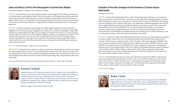#### Safety and Efficacy of Direct Oral Anticoagulants in Extreme Body Weights

Cardinal RM, D'Addezio A, Dakers K, Yee A, D'Amico F, Castelli G

**PURPOSE:** Current literature on the safety and efficacy of direct oral anticoagulant (DOAC) therapy in patients who are extremely obese or underweight are limited. However, these agents are still being prescribed in these populations and often left to the family medicine physicians to monitor. The objective of this study is to describe the safety and efficacy of DOAC therapy in extremely obese and underweight patients for the treatment of venous thromboembolism (VTE) to educate family medicine physicians on appropriate prescribing and monitoring of DOACs in these patient populations.

**METHODS:** A multi-site, retrospective cohort design of four UPMC hospitals (McKeesport, Mercy, Passavant, St. Margaret) was used. Patients who were extremely obese (> 120 kg or BMI > 40 kg/m2), underweight (< 60 kg or BMI < 18.5 kg/m2), or average weight (60-120 kg or BMI 18.5-40 kg/m2) who experienced an initial VTE between November 2012 and August 2017 and placed on a DOAC (apixaban, dabigatran, edoxaban, or rivaroxaban) were included. Percent of patients who experienced a recurrent VTE within 12 months from the index VTE will be the primary efficacy outcome compared between body weights. Percent of patients who experienced at least one major bleed within 12 months from the index event will be the primary safety outcome. Chi-squared tests followed by logistic regressions will be utilized for analysis.

**RESULTS:** Research in progress; results are yet to be determined.

**CONCLUSIONS:** (Anticipated): The results of our study have the potential to identify patients of extreme body weight who will be at high risk for a recurrent VTE or major bleed when prescribed a DOAC. This study aims to improve the prescribing behavior of DOACs in these populations by designing an algorithm based on patient specific risk factors to educate family medicine physicians and assist in their clinical decision making when caring for patients with extreme body weights.

*Presented at the 52nd Society of Teachers of Family Medicine Annual Conference, Toronto, ON, Canada 2019.*



#### **Rachael Cardinal**

Rachael Cardinal is a PGY-1 Pharmacy Resident at UPMC St. Margaret. She is from Buffalo, New York, and received her Doctorate of Pharmacy from the University at Buffalo School of Pharmacy and Pharmaceutical Sciences. Upon completing her PGY-1 residency, she will continue at St. Margaret as a PGY-2 in Family Medicine. Her professional interests include chronic disease state management, transitions of care, academia, and family medicine. Rachael also enjoys traveling, hiking, and spending time with friends and family.

Mentor(s): Gregory Castelli, PharmD, BCPS, BC-ADM

#### Evaluation of Prescriber Strategies for the Prevention of Contrast Induced Nephropathy

Colvin BM, Kane-Gill SL

**PURPOSE:** Contrast-induced nephropathy (CIN) is a subset of acute kidney injury (AKI) that occurs secondary to exposure to intravenous radiocontrast media. Consequences of CIN include short-term dialysis initiation, increased length of hospital stay, and increased cost to patients. In November 2017 the results of the PRESERVE trial evaluating prevention strategies for CIN in patients at high risk for renal complications undergoing angiography indicated there were no significant differences between use of sodium bicarbonate, normal saline, or acetylcysteine. Concurrently with the release of the results of the PRESERVE trial, the nation experienced a fluid leading to conservation of intravenous solutions and oral rehydration protocols. The objectives of this quality improvement study were to evaluate the impact of the PRESERVE trial and fluid shortage on prescribing practices at UPMC Presbyterian, as well as to determine the incidence of CIN at the institution during these time periods.

**METHODS:** A retrospective, single center quality improvement project with a pre- post trial evaluation was completed at a tertiary academic medical center. Data was obtained from the electronic medical record from May 1, 2017 to November 1, 2018. Encounters evaluated from May 1, 2017 to November 1, 2017 represent the before-PRESERVE trial group. Encounters evaluated from May 1, 2018 to November 1, 2018 represent the after-PRESERVE trial group, which will reflect the institutions response to the PRESERVE trial results. A patient list was generated via charge data for radiocontrast dye received during admission. This list was refined to include high-risk patients using ICD 10 diagnosis codes for patients with heart failure, diabetes, or chronic kidney disease. Data was analyzed to evaluate which prevention strategy, if any, was utilized. Additionally, patients were evaluated for changes in serum creatinine and urine output from 48 to 168 hours after dye exposure.

**RESULTS:** Overall 728 patients met the study criteria, 359 in the 2017 arm and 369 in the 2018 arm. These patients were further randomized to include 20% per arm with 72 in 2017 and 74 in 2018. The median age was 69 ±19 years in 2017, and 70 ±18 years in 2018. In the 2017 arm 22, 37, and 45 patients had a diagnosis of chronic kidney disease, diabetes, and heart failure, respectively. In the 2018 arm 16, 50, and 36 patients had a diagnosis of chronic kidney disease, diabetes, and heart failure, respectively. Further results are pending.

**CONCLUSIONS:** Pending



### **Bailey Colvin**

Bailey received her Doctor of Pharmacy and Bachelor of Science degrees from the Philadelphia College of Pharmacy at the University of the Sciences. She is completing her PGY1 residency at UPMC Presbyterian hospital. This year she will continue her training at UPMC Presbyterian as a PGY2 pharmacy resident in cardiology.

Mentor(s): Sandra L. Kane Gill, PharmD, MS, FCCM, FCCP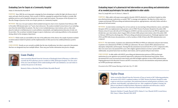#### Evaluating Care for Sepsis at a Community Hospital

Dadey LP, Morchied RJ, Reynolds R

**PURPOSE:** Since 2002 the surviving sepsis campaign has been attempting to combat the high-risk disease state of sepsis and septic shock for patients. Most recently in 2018 the campaign has updated their bundles to include 2016 guideline practices and to hopefully attempt for even more rapid interventions. The purpose of this QI project is to describe changes of practice in the care of septic patients at a community hospital.

**METHODS:** This was a two-part analysis which included retrospective chart review of patients from February 2018 to December 2018 deemed septic via  $3^{rd}$  party chart abstracters. The analysis included various forms of care including more than the initial fallout for patients. The chart review included pharmacy interventions such as a fake order placed to indicate to staff pharmacists to send antibiotics immediately, and implementation/education of order sets for providers. The second part included changes in aspects of pharmacy such as placing antibiotics in the automated dosing cabinet in the emergency department.

**RESULTS:** While results are unavailable at the time of the publication of this abstract the sample of patients included in initial analysis totaled 123 patients and the implementation of other practices has yielded preliminary positive results.

**CONCLUSIONS:** Results are not currently available that the time of publication, but what is expected is that patients that have are designated may have multiple fallouts. These may pose further information into practice changes.



#### **Liam Dadey**

Liam received his PharmD from the University of Pittsburgh School of Pharmacy in 2018 and is currently the PGY1 pharmacy practice resident at UPMC McKeesport hospital. Over the course of the year Liam developed a better understanding for HIV and Ambulatory care and wishes to continue this practice in the future.

Mentor(s): Rebecca Morchied, PharmD Robert Reynolds PharmD

#### Evaluating impact of a pharmacist-led intervention on prescribing and administration of as needed psychotropics for acute agitation in older adults

Dean TA, Joseph MP, Carr CN, Kirisci L, Fabian TJ

**PURPOSE:** Older adults with major neurocognitive disorder (MNCD) admitted to a psychiatric hospital are often prescribed psychotropic medications as needed "PRN" to manage acute agitation. The objective of this study is to compare psychotropic PRN prescribing and administration patterns, appropriateness, and safety before and after a pharmacist-led intervention.

**METHODS:** An intervention consisting of in-services and one-on-one meetings with psychiatrists, nurses, and milieu therapists (MTs) was implemented on the geriatric unit at UPMC Western Psychiatric Hospital in December 2018. Patients at least 65 years old with an ICD-10 diagnosis of MNCD, and who received at least one PRN for agitation were divided into a pre-intervention cohort (August 2018 to October 2018) and post-intervention cohort (December 2018 to February 2019) based on discharge date. PRN prescribing and administration patterns, Pittsburgh Agitation Scale (PAS) and PRN effectiveness documentation, as well as incidence of falls 24 hours after PRN administration were compared.

**RESULTS:** Pre-intervention, 13 patients were administered 90 PRNs (6.9 PRNs per admission) and post-intervention, 12 patients were administered 39 PRNs (3.25 PRNs per admission). The most common PRNs administered were olanzapine, haloperidol, and lorazepam. Nursing PAS documentation increased from 0% to 33.3%. Compared to MTs, there were more nurse-documented PAS scores with a highest agitation domain of at least 3 points (69% vs 32%). Additionally, one patient had at least one fall pre-intervention, and two patients fell post-intervention.

**CONCLUSIONS:** In older adults with MNCD, prescribing and administration patterns of PRN psychotropic medications for acute agitation were positively impacted by a pharmacist-led educational intervention. Nursedocumented PAS scores increased post-intervention and reflected higher agitation at time of PRN administration. Ongoing pharmacist-led education of nurses and MTs is necessary to increase documentation and promote judicious use of PRN psychotropic medications.

*Presented at the CPNP Annual Meeting in Salt Lake City, UT, 2019.*



#### **Taylor Dean**

Taylor received her PharmD from the University of Texas at Austin in 2017. Following graduation, she started a PGY-1/PGY-2 combined residency at UPMC Western Psychiatric Hospital in order to gain an early focus in psychiatry. Her professional interests include geriatric psychiatry, acute psychosis, mood disorders, and underserved care. After completion of residency training, she plans to earn Board Certified Psychiatric Pharmacist credentials and will become a clinical psychiatric pharmacist at The University of Kansas Health System.

Mentor(s): Matthew P. Joseph, PharmD, BCPS, Chelsea N. Carr, PharmD, BCPP, Levent Kirisci, PhD, Tanya J. Fabian, PharmD, PhD, BCPP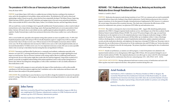#### The prevalence of AKI in the use of Vancomycin plus Zosyn in ICU patients

Fawzy JH, Kane-Gill SL

**PURPOSE:** Acute Kidney Injury (AKI) refers to a sudden decrease in kidney function, resulting in the retention of urine, and in the dysregulation of extracellular volume and electrolytes. The definition for AKI used in clinical and epidemiologic studies is based on specific criteria that have been sequentially developed. The Kidney Disease: Improving Global Outcomes (KDIGO, released in 2017) definition and staging system is the most recent and preferred definition. Other criteria include the RIFLE criteria (Risk, Injury, Failure, Loss of kidney function, and End-stage kidney disease).

AKI can result from a variety of etiologies, but it is generally multifactorial. Prerenal azotemia is a direct result of reduced renal perfusion, such as hypovolemia, hemorrhage, sepsis, third spacing of fluid (such as in severe pancreatitis) or heart failure. Intrinsic AKI may be due to acute tubular necrosis, rapidly progressive glomerulonephritis, and interstitial nephritis. Finally, Postrenal injury results from mechanical obstruction of the urinary outflow tract, such as fibrosis or tumors.

AKI is a severe health risk, especially in the inpatient setting where patients are more susceptible. In fact, 7%-18% of all hospitalized patients acquire AKI and up to 50% of critically-ill patients acquire it. Length of stay (LOS) in a hospital increases from 5 days to 16 days in severe cases. With an increase in LOS, the hospital cost increases almost 3-fold in severe cases. The 30-day readmission rates increases by 3-fold in severe cases as well. Lastly, hospital mortality rates are increased dramatically by 5-11-fold in severe cases. It is very important to decrease as many AKI cases as soon as possible which is why we need up-to-date kidney function testing that does not lag behind 24-48 hours.

**METHODS:** Vancomycin and Piperacillin/Tazobactam is a commonly used antibiotic combination especially in the Intensive care units (ICU). Assessing trends based on dosing in ICU floors can provide an insight regarding the actual impact on renal function. The use of Serum Creatinine in this setting could be effective in following trends however moving forward, the use of this marker might show results after the insult has happened. Using trends recorded in ICU patients can provide an insightful understanding of this patient population's need as well as proper dosing based on historic data collected. Recording basic demographics as well as other contributors to AKI can modify utilizations of these medications as well.

**RESULTS:** Currently still in-progress to assess and analyze the impact of these medications as well as other possible contributors of AKI that these patients might have had. Contributors such as other medications and disease states will allow for clearer data analysis of the patient population

**CONCLUSIONS:** We currently hope to assess the data in a way to be able to change the standard of care practice for patients in the ICU settings. While this is still in-progress, the patient pool shows promising information to come and a good subgroup analysis.



#### **John Fawzy**

John Fawzy received his PharmD from Long Island University Brooklyn Campus in 2018. He is now completing his PGY1 Pharmacy Administrative residency in UPMC Presbyterian and will continue to go into a PGY2 Pharmacy Administrative position.

Mentor(s): Sandra Kane-Gill PharmD, MS, FCCM, FCCP

#### REFRAME - TOC: Pha**R**macists **E**nhancing **F**ollow up, **R**educing and **A**ssisting with **M**edication **E**rrors through **T**ransitions **o**f **C**are

Ferdock A, Castelli G, Klatt T

**PURPOSE:** Medication discrepancies made during transitions of care (TOC) are common and can result in potentially preventable adverse drug events, leading to drug-related readmissions. Family Medicine pharmacists have strived to improve transitions of care discrepancies through a formalized protocol implemented in 2012, however, it is unknown the current impact this protocol has on patient outcomes. This study aims to determine the effectiveness of this protocol on readmission rates, primary care physician (PCP) follow up and medication errors.

**METHODS:** This study is a retrospective chart review from January 2018 – August 2018, identifying adult patients admitted to the UPMC St. Margaret inpatient family medicine service, who belong to one of the three academic Family Medicine Patient Centered Medical Homes (PCMH). The current TOC protocol begins with a sign-out email from the pharmacist on the inpatient service to the outpatient pharmacy team, listing any medication changes or follow up plans for the patient. The outpatient pharmacist will then follow up via telephone within 2-4 days of discharge; reinforces discharge plans, reconciles pre- and post-hospitalization medications, updates outpatient medication records, provides medication education, and emphasizes the importance of prompt PCP follow-up. This project aims to determine the rate of effectiveness of this protocol on 30-day readmission rates and PCP follow up. Various descriptive statistics will be calculated to describe the study groups. The primary hypothesis (comparing the rates of readmission) will be tested using a Z-test.

**RESULTS:** Results are preliminary, as statistics are still in progress. A total of 214 patients were admitted to the inpatient family medicine service during January 2018-August 2018. Of those, 104 were patients belonged to one of the three family medicine PCMHs. The outpatient pharmacists were able to get in contact with 31% of the discharged patients. This group had less readmissions than the non-contacted group [ 21% v. 26%; 95%CI -14.5% - 20.1%].

**CONCLUSION (ANTICIPATED):** Having a pharmacist-lead team to ensure accuracy of medications and assist with follow up plans may lead to improved outcomes, when patients transition during their care.



### **Ariel Ferdock**

Ariel Ferdock is a PGY-2 Ambulatory Care Pharmacy Resident at UPMC St. Margaret. She received her PharmD from Nova Southeastern University in Palm Beach Gardens, FL; and she attended Towson University in her home state of MD, where she received her Bachelor of Science in Chemistry. She plans to pursue being a clinical faculty member in a primary care setting after graduation.

Mentor(s): Patricia Klatt, PharmD, BCPS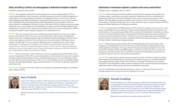#### Safety and efficacy of direct oral anticoagulants in abdominal transplant recipients

Fredrick SR, Schonder KS, Rivosecchi RM

**PURPOSE:** Anticoagulation is indicated for treatment and prevention of venous thromboembolism (VTE) in a variety of patient populations. Many clinicians are comfortable using warfarin and other vitamin K antagonists due to their longevity of use and the abundance of literature surrounding them. However, warfarin comes with many pitfalls including unpredictable pharmacokinetics, drug-drug and drug-food interactions, and a narrow therapeutic index. Standardized dosing and minimal laboratory monitoring make direct oral anticoagulants (DOACs) an attractive option for anticoagulation. While there is evidence of the safety of DOACs in patients with renal and hepatic impairment, there is a paucity of literature surrounding their use in patients who have undergone abdominal organ transplantation. The purpose of this evaluation was to investigate, safety, efficacy, and prescribing patterns of DOACs in abdominal transplant recipients during the immediate post-transplantation period.

**METHODS:** This was a retrospective chart review of patients who received a kidney, liver, or pancreas transplant between October 2010 and October 2017 and who were prescribed a DOAC within 6 months of transplantation. Baseline characteristics including transplanted organ, anticoagulation indication, demographics, laboratory values, and medication regimens were collected. Safety and efficacy were assessed by incidence of bleeding events and incidence of breakthrough VTE events, respectively. Bleeding events were classified as major or minor, whereas breakthrough VTEs included deep vein thromboses (DVT), pulmonary embolisms (PE), and ischemic strokes. Outcomes data was collected for 6 months following the initiation of a DOAC. The DOAC regimen and interacting medications were reassessed at initiation and at the time of any bleeding or clotting event to determine whether the dose was appropriate according to the manufacturers' labeling.

**RESULTS:** Thirty-six patients who received a kidney, liver, or pancreas transplant were prescribed a DOAC within 6 months of transplantation. Of these, 89% were prescribed apixaban, while the remainder were prescribed rivaroxaban. Transplanted organs included 24 kidneys, 9 livers, 2 simultaneous kidneys/pancreases, and 1 simultaneous kidney/ liver. The median time from transplantation to DOAC start was 33 days. Bleeding events that were identified included hematoma, abnormal vaginal bleeding, and gastrointestinal bleeding. VTE events that were identified included DVT and ischemic stroke.

**CONCLUSIONS:** The results of this study will add to the existing literature regarding anticoagulation in abdominal organ transplant recipients.



#### **Stacy Fredrick**

Stacy is a PGY-1 Pharmacy Resident at UPMC Presbyterian. She is from Buffalo, NY, and received her PharmD and MBA from the University at Buffalo School of Pharmacy and Pharmaceutical Science. Her clinical interests include solid organ transplant and infectious disease. Upon completion of her PGY-1 residency, she will continue at UPMC Presbyterian as a PGY-2 pharmacy resident focusing in Solid Organ Transplant.

Mentor(s): Full names with credentials: Kristine Schonder, PharmD; Ryan Rivosecchi, PharmD, **BCCCP** 

#### Optimization of medication regimens in patients with serious mental illness

Goulding H, Lupu A, Chengappa R, Kirisci L, Fabian T

**PURPOSE:** Patients with serious mental illness (SMI) are at increased risk of medication-related problems due to complex regimens, comorbidities, and cognitive impairment. Polypharmacy, lack of care coordination, and inappropriate medication use can lead to non-adherence, adverse events, and poor clinical outcomes. Forbes Pharmacy fills weekly pillboxes for patients identified by their psychiatrists or PCPs to need assistance managing their medications. The objective of this project was to evaluate medication regimens of patients enrolled in the Pillbox program and identify opportunities for medication optimization.

**METHODS:** Prescription data for 121 Pillbox patients from FY17 and FY18 was analyzed and a chart review of current patients was performed to assess actionable areas for intervention including deprescribing, dose optimization, and provider education. Chronic proton pump inhibitor (PPI) use and docusate monotherapy for constipation were chosen as the first two evidence-based interventions to be implemented. Educational materials for patients and physicians were created and used for targeted interventions. Outcomes to be measured include number of recommendations made and accepted, time spent on interventions, and patient attitude towards medication changes as assessed through the Patient Attitudes Towards Deprescribing questionnaire.

**RESULTS:** Pillbox patient prescriptions filled in 2017 and 2018 included antipsychotics and anxiolytics (12%); antidepressants and lithium (8%); laxatives (6%); PPIs (4%); and other medications including antihypertensives, antihyperglycemics and analgesics. On average, patients had 41 unique prescriptions during the two-year study period. Of the 75 patients currently in the Pillbox program, 23 (31%) were on a PPI and 13 (17%) were on docusate monotherapy. After medication education was provided, 19 of 23 patients (83%) identified for interventions were amenable to having their prescriber contacted with recommendations.

**CONCLUSIONS:** Opportunities to optimize medication regimens for patients with SMI were identified including deprescribing PPIs and optimizing docusate monotherapy. The majority of patients were amenable to pharmacistrecommended medication changes. Results of the interventions are pending. Forbes Pharmacy will continue to assist patients in the management of complex medication regimens and will use educational materials developed for targeted interventions to educate patients and make recommendations to prescribers.

*Presented At: ASHP Midyear Clinical Meeting and Exhibition, Anaheim, CA, December 2018 and University of Pittsburgh, Department of Psychiatry Research Day, Pittsburgh, PA, June 2019*



#### **Hannah Goulding**

Hannah Goulding is a PGY-1 Pharmacy Resident at UPMC Western Psychiatric Hospital. She is a 2018 graduate of the University of North Carolina Eshelman School of Pharmacy and her professional interests include psychiatry and pediatrics, especially the combination. After completing her residency, she will continue her career at UPMC Western Psychiatric Hospital providing care for patients with autism and intellectual and developmental disabilities and expanding ambulatory clinical pharmacy services in child and adolescent psychiatry.

Mentor(s): Ana Lupu, PharmD; Tanya Fabian, PharmD, PhD, BCPP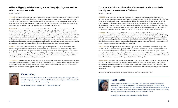#### Incidence of hypoglycemia in the setting of acute kidney injury in general medicine patients receiving basal insulin

Gray VC, Lombardi K

**PURPOSE:** According to the 2019 American Diabetes Association guidelines, patients with renal insufficiency should be treated with lower insulin doses than those without renal insufficiency. Presently, our institution does not have protocols in place to adjust insulin doses based on renal function, nor does current practice routinely account for this recommendation. The objective of this study is to determine the rate of hypoglycemic episodes in patients receiving basal insulin with acute kidney injury compared to those without acute kidney injury.

**METHODS:** A retrospective chart review was conducted to determine the incidence of hypoglycemia, defined as a blood glucose of less than 70 mg/dL, in patients with acute kidney injury (AKI). AKI was defined as an increase in serum creatinine of 0.3mg/dL or greater within 48 hours. Patients were identified for screening if they had received basal insulin (i.e. insulin glargine, insulin detemir, or insulin degludec) between February 1st, 2017 and April 30<sup>th</sup>, 2017. Inclusion criteria were patients admitted to a general medicine service, aged 18 years or older, and who received basal insulin during admission. Patients were excluded if they had an endocrinology consult, received an insulin drip, or received hemodialysis during hospitalization. Data collected included patient demographic information, home insulin regimen, inpatient insulin regimen, and blood glucose and serum creatinine values during admission.

**RESULTS:** A total of 404 patients were screened, with 103 patients being included. The most frequent reason for exclusion was patients who were admitted under services other than general medicine. The majority of patients in all four groups received insulin glargine as basal insulin during admission. Of the included patients, 33/103 patients (32%) did not meet criteria for AKI or hypoglycemia, 37/103 patients (36%) met criteria for AKI but did not experience hypoglycemia, 19/103 patients (18.5%) did not meet criteria for AKI but did experience hypoglycemia, and 14/103 patients (13.5%) met criteria for AKI and experienced hypoglycemia.

**CONCLUSIONS:** Based on the results of this retrospective review, the unadjusted rate of hypoglycemia while receiving basal insulin was lowest in general medicine patients with acute kidney injury. The effect of insulin dose on this result is pending further analysis. Additional studies with a larger number of patients could be helpful to determine the impact of total insulin dose on hypoglycemia in the setting of AKI.



#### **Victoria Gray**

Victoria received her PharmD from The Ohio State University College of Pharmacy in 2018 and is currently completing her PGY-1 residency at UPMC Mercy. Upon completion of her residency, she plans to practice in a hospital pharmacy setting.

Mentor(s): Kelli Lombardi, PharmD, BCPS; Taylor Miller, PharmD

#### Evaluation of apixaban and rivaroxaban effectiveness for stroke prevention in morbidly obese patients with atrial fibrillation

Berletic JD, Hassen HA

**PURPOSE:** Direct-acting oral anticoagulants (DOACs) were introduced as alternatives to warfarin for stroke prevention in patients with nonvalvular atrial fibrillation (AF). Clinical trials for the four DOACs, including the factor Xa inhibitors (apixaban, edoxaban, and rivaroxaban) and direct thrombin inhibitor (dabigatran) did not include sufficient patients with morbid obesity to guide their use in this patient population. The International Society on Thrombosis and Haemostasis (ISTH) recommends to avoid use in this patient population due to lack of clinical data, however, despite that recommendation, use persists. The purpose of this study was to evaluate the effectiveness of apixaban and rivaroxaban in morbidly obese patients with AF for primary or secondary stroke prevention.

**METHODS:** All patients presenting to UPMC Mercy between July 2016 and July 2017 that received apixaban or rivaroxaban were eligible for review. Inclusion criteria included patients with obesity (weight >120kg or BMI > 40 kg/ m2) who were receiving apixaban or rivaroxaban for primary or secondary stroke prevention for atrial fibrillation. Data collection included patient demographics, risk of stroke (as determined by CHA2DS2VASc score), and history of stroke during or prior to apixaban or rivaroxaban therapy. The primary outcome of the study was the incidence of stroke while patients were on either apixaban or rivaroxaban.

**RESULTS:** A total of 814 patients were screened, with 62 patients meeting criteria for inclusion. Of the 62 patients evaluated, 40 (65%) of them received apixaban and 22 (35%) received rivaroxaban. Apixaban and rivaroxaban were used for primary stroke prevention in 53 (85%) patients and for secondary stroke prevention in 9 (15%) patients. Among the nine patients receiving anticoagulation for secondary prevention, 2 (22%) of them were receiving one of the DOACs before the first incidence of stroke. DOACs were initiated after the incidence of stroke in 6 (67%) patients and it was unclear whether stroke occurred during or prior to therapy in 1 (11%) patient.

**CONCLUSIONS:** The review indicates the continued use of DOACs in morbidly obese patients with atrial fibrillation even with limited evidence supporting their effectiveness. Due to the overall low number of event rates as well as the limitations of a retrospective review, we were unable to determine the effectiveness of DOACs in obesity. Until data is available from a large randomized controlled trial, routine use of DOACs in this patient population should be discouraged.

*Presented at ASHP Midyear Clinical Meeting and Exhibition, Anaheim, CA, December 2018.*



### **Hayat Hassen**

Hayat Hassen is a PGY-1 Pharmacy Resident at UPMC Mercy. She attended the University of Minnesota Twin Cities for her Bachelor of Science. Hayat received her PharmD from the University of Missouri Kansas City. Upon completion of PGY-1 residency, Hayat will be continuing her PGY-2 training in ambulatory care in Minnesota. Outside of pharmacy, Hayat enjoys traveling, exploring new coffee shops, and spending time with family and friends.

Mentor(s): Josef D. Berletic, PharmD; Miller J. Taylor, PharmD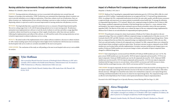#### Nursing satisfaction improvements through automated medication tracking

Hoffman TD, L'Altrelli A, Bates M, Kane-Gill SL

**PURPOSE:** Nursing satisfaction with pharmacy services is associated with medication turn-around time and frequency of missing or late medications. UPMC Presbyterian uses automated dose dispensing cabinets in patient care areas to provide immediate access to high use medications. When these cabinets stock out of medications, there are delays in patient care. Implementation of new software technology to prevent or reduce stockouts in automated dose dispensing cabinets is expected to result in increased improvement in nursing satisfaction with pharmacy services.

**METHODS:** Nursing leadership takes a quarterly satisfaction survey as a measure of hospital departmental quality. The survey scaling ranges from 1 to 10, with 10 representing optimal service to meet nursing needs. The pharmacy automation team implemented new software to track the stock of cabinets in real time and utilize a usage algorithm to optimize cabinet stock based on an average use of day's supply of medication, rather than static par numbers. Following the implementation and rollout of this software, we will trend the results of the nursing satisfaction surveys to look for improvement in relation to pharmacy service scoring.

**RESULTS:** The initial results of the implementation of new cabinet software resulted in a decrease in cabinet stockouts of >60%. Initial rounding reports from nursing have shown higher levels of satisfaction with the decrease in stockouts, but the hospital-wide survey results are currently unavailable for the most recent quarter.

**CONCLUSIONS:** The conclusions of this study are still pending as the most recent hospital-wide survey is not available for analysis.



#### **Tyler Hoffman**

Tyler received his PharmD from the University of Pittsburgh School of Pharmacy in 2017 and is currently a PGY2 resident in the Health System Pharmacy Administration track. He remains at UPMC Presbyterian as a Pharmacy Administrative Fellow next year.

Mentor(s): Alfred L'Altrelli, PharmD; Madalyn Bates, RPh; Sandra Kane-Gill, PharmD, MS, FCCM, FCCP

#### Impact of a Medicare Part D compound strategy on member spend and utilization

Hospodar A, Heasley J, Ni D, Jose A

**PURPOSE:** Medicare Part D spending for compounded topical medications grew by 2,353% from 2010 to 2016, for a total annual cost of \$323.5 million. Compounded medications are not approved by the U.S. Food and Drug Administration (FDA). According to the FDA, compounded medications do not have the same safety, quality, and effectiveness assurances as approved drugs, and unnecessary use exposes patients to potentially serious health risks. To manage the utilization of compounded topical products, CVS Caremark® offered a new compound strategy for Medicare Part D clients in 2018. This strategy considered compounds non-formulary if the final dosage form was topical (i.e., cream, ointment, lotion, and shampoo). Non-topical compound claims continued to process based on formulary status of the most expensive ingredient (MEI). The objective of this study was to evaluate the impact of the new compound strategy implemented by Medicare Part D clients on cost and utilization of compounded prescription products.

**METHODS:** We performed a retrospective claims-based analysis of Medicare Part D plans who opted in to the new compound strategy. Plans were excluded if a different compound strategy was implemented or if the plan was not a CVS Caremark client for 2017 and 2018. Ointment, cream, lotion, and shampoo were considered topical dosage forms. Claims data was compared from the year before the compound strategy was implemented on January 1, 2018 to the year after. Total costs and total number of claims for all compounds were evaluated. For 2018, compound claims were evaluated for rejected topical claims resulting in a paid non-topical claim. The primary outcome was gross compound cost per 10,000 members per year for plans before and after implementation. Secondary outcomes include percent change in gross cost, number of claims per 10,000 members per year, percent change in claims, and number of topical compound claims changed to a different dosage form.

**RESULTS:** Total compound gross cost decreased from \$301,038 to \$175,826 per 10,000 members per year (-42.7%). The gross cost per 10,000 members per year decreased by -85.0% for topical compounds and increased by +57.5% for nontopical compounds. Claims per 10,000 members per year for all compounds decreased by -25.6%. Claims per 10,000 members per year decreased by -83.1% for topical compounds and increased by +32.5% for non-topical compounds. Emulsions had the largest increase in cost and claims, with an 8,024% cost increase and 5,164% increase in claims. Powders had the second largest increase, with a 326.0% cost increase and 164.7% increase in claims.

**CONCLUSIONS:** For topical compounds, the total cost and the total number of claims decreased for each dosage form. For non-topical compounds, some dosage forms showed an increase in the total cost and/or number of claims, while others showed a decrease. Although it was found that some claims were switched from a topical to a non-topical dosage form, switching contributed minimally to the increase in claims for non-topical dosage forms. The compound strategy can be an effective tool to help Medicare Part D clients control spend and utilization of topical compound products.

*Presented At the AMCP Managed Care & Specialty Pharmacy Annual Meeting 2019, San Diego, CA, 2019.*



### **Alexa Hospodar**

Alexa received her PharmD from the University Of Pittsburgh School Of Pharmacy in 2018. She will complete a managed care residency at CVS Health in 2019. Upon completion of residency, she plans to practice in a managed care/pharmacy benefit management setting.

Mentor(s): Jennifer Heasley, MS, PharmD; Danfeng Ni, PharmD; Abraham Jose, PharmD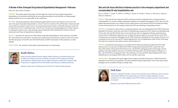#### A Review of Non-Emergent Drug Induced Hyperkalemia Management- Patiromer

Hylwa, KT, Kane-Gill SL, L'Altrelli A

**PURPOSE:** This quality improvement project will investigate the treatment of non-emergent drug induced hyperkalemia at our institution and whether the newer generation polymer-based absorbers are being managed during transitions of care to avoid possible 30-day readmissions.

**METHODS:** The patient population will be identified through TheraDoc alerts for retrospective chart review. The alerts will capture drug-induced hyperkalemia, critical K values (K>6 mmol/L), SPS, and Patiromer. All potassium lab values will be documented as well as time to corrected potassium below 5mmol/L. Minimally, laboratory results will be collected for 24, 48, 72, and 96 hours after critical K event. The patient's remaining length of stay will be evaluated for subsequent critical K events. Upon discharge, patient readmission will be monitored for 30 days for all cause readmission and 30 days for hyperkalemia readmission.

**RESULTS:** Total alerts for critical K were 5560, 3960 for drug-induced hyperkalemia, 338 for Patiromer, and 240 for SPS. After initial review of total alerts, 53 patients met requirements for inclusion for retrospective chart review from the Patiromer group, 22 from SPS, and 12 for both Patiromer and SPS. Final analysis of these patients is currently ongoing.

**CONCLUSIONS:** The conclusion of this quality improvement project are still pending.



#### **Keith Hylwa**

Keith received his PharmD from the Albany College of Pharmacy and Health Sciences and his MBA from Clarkson University in 2018. He is currently a PGY1 resident in the Health System Pharmacy Administration track at UPMC Presbyterian. Keith will be staying at UPMC Presbyterian to complete his PGY2 in the Health System Pharmacy Administration track.

Mentor(s): Sandra Kane-Gill, PharmD, MS, FCCM, FCCP; Alfred L'Altrelli, PharmD

#### Skin and soft tissue infections treatment practices in the emergency department and corresponding 30-day hospitalization rate

Kim, D., O'Brien, C., Amesh, A., Weber, D., Volosky, R., Guyette, M., Pacella, C., Brown, A., McCreary, E., Baum, B., Marini, R, Oleksiuk, L.

**PURPOSE:** Skin and soft tissue infections (SSTIs) result from microbes invading the skin or soft tissues below it. Limited guidance is currently available to help guide outpatient versus inpatient management of SSTI. The aim of this quality improvement project was to identify areas for improvement in the treatment of SSTIs by formally describing current treatment practices in the emergency department (ED) and evaluating corresponding outcomes.

**METHODS:** A retrospective cohort study was conducted of patients who were discharged from the UPMC Presbyterian Shadyside ED in January, April, July, and October of 2018 following evaluation for SSTIs. Patients were identified using ICD-10 codes (L02 and L03). Patients who were less than 18 years old, were diagnosed with deep-seated infections, or had a history of hidradenitis suppurativa were excluded. The primary objective was to describe the current SSTIs treatment practices for patients discharged from the UPMC Presbyterian Shadyside ED. The secondary objectives were to quantify the rates of all-cause and SSTI-related unplanned ED visits or hospitalization within 30 days of discharge. The results were analyzed via descriptive statistics and Chi-Square test.

**RESULTS:** One hundred-twelve patients were included, with 56 (50%) presenting with nonpurulent SSTIs. Mild infection (Eron I) was present in 49 (88%) and 52 (96%) of nonpurulent and purulent SSTIs, respectively. Fortythree (78%) patients with purulent SSTIs had abscesses, with 40 (93%) undergoing incision and drainage. Overall, guideline concordant antibiotic selections were utilized in 68 (61%) patients. The median duration of therapy was 7 days, with 32/98 (33%) receiving greater than 7 days of therapy. All-cause and SSTIs related unplanned ED visits or hospitalizations to the hospital within 30 days were 33% and 18%, respectively.

**CONCLUSIONS:** The results of this study suggest that the majority of patients who present to UPMC Presbyterian Shadyside ED with SSTIs receive guideline-concordant antibiotic therapy. Opportunities exist to limit unnecessarily prolonged courses of antibiotic therapy exceeding 7 days.



#### **Didi Kim**

Didi Kim is originally from Mesa, Arizona. She received her Doctor of Pharmacy from University of Maryland in Baltimore. Her professional areas of interest include ambulatory care and transitions of care. After completion of her PGY1 residency, she plans to pursue a clinical position in a hospital.

Mentor(s): Louise-Marie Oleksiuk, PharmD, BCPS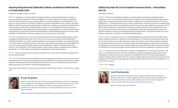#### Improving Interprofessional Collaboration: Diabetes and Behavioral Health Referrals in a Family Health Center

Kirpekar PA, Koenig M, D'Amico F, Farrah R

**PURPOSE:** Depression co-occurring with chronic medical conditions is common in the primary care setting. Cooccurrence of psychiatric disorders in patients with diabetes are correlated and may lead to a decreased quality of life, increased cost of medical care, poor treatment adherence, elevated hemoglobin A1c, and hospitalizations. This project is a needs assessment for the UPMC St. Margaret Lawrenceville Family Health Center to improve coordinated healthcare within the medication management, behavior health team, and primary care providers at the health center. The main study outcomes include: 1) determining the prevalence of co-occurring behavioral health disorders and uncontrolled diabetes, 2) determining the prevalence of patients receiving integrated care, 3) determining the number of opportunities to screen patients for behavioral health disorders, and 4) determining opportunities to refer patients to the behavioral health team, medication management team or to their primary care provider.

**METHODS:** A retrospective chart review will be conducted of patients with uncontrolled diabetes, defined as having a hemoglobin A1c greater than or equal to 9% on two consecutive occasions, at a patient-centered medical home (PCMH) family health center. Patients will be identified from an existing quarterly diabetes report. The family health center utilizes a behavioral health team led by social workers and a medication management team led by a pharmacist. It serves as a teaching facility for family medicine residents and pharmacy residents. The study period will span from July 1, 2017 through July 1, 2018. Various descriptive statistics (means, medians, standard deviations, frequency distributions, etc.) will be calculated to describe the study population and determine prevalence.

**RESULTS:** Data collection and analysis is currently in progress. Chart review will be conducted on forty patients that have met inclusion criteria.

**CONCLUSIONS:** The results of this study will be the first step in improving the referral process to the various teams in the family health center. Future directions will be to propose and implement an automatic referral process for patients identified as having potentially uncontrolled behavioral health issues to be seen or have follow-up by the behavioral health team, primary care provider, or medication management team.

*Presented at: 52nd Annual Society of Teachers of Family Medicine (STFM) Spring Conference, Toronto, Ontario, Canada 2019.*



### **Pooja Kirpekar**

Pooja received her PharmD from Virginia Commonwealth University in 2017 and is completing a PGY-2 in Ambulatory Care with focus in Family Medicine at UPMC St. Margaret's Lawrenceville Family Health Center. Upon completion of residency training, she plans to practice as an outpatient clinical pharmacist in the primary care setting and hopes to serve as a preceptor to pharmacy students.

Mentor(s): Marianne Koenig, PharmD, BCPS, Roberta Farrah, PharmD, BCPS, BCACP

#### Utilizing Area Under the Curve for Inpatient Vancomycin Dosing – Saving Kidneys and Cost

Korlinchak AN, Ours RL

**PURPOSE:** Vancomycin is a glycoprotein antibiotic commonly used for the treatment of methicillin-resistant *Staphylococcus aureus.* Due to its pharmacokinetic properties, physicians have frequently looked upon pharmacists to properly dose vancomycin based on patient specific factors including renal function and clinical status. Previously, a trough goal of 15 – 20 mcg/mL had been used as a marker to signify efficacy. Additional research is now demonstrating that the ratio of the area under the concentration versus time curve to the minimum inhibitory concentration (AUC24/ MIC) greater than 400 is now a better marker of vancomycin monitoring. This new marker is predicted to decrease the cost of vancomycin therapy and reduce the risk of nephrotoxicity while still providing infection resolution. The goal of this study is to assess the rate of attaining the goal AUC24 between 400 – 600 mg\*h/L with initial vancomycin regimens and incidence of AKI before and after protocol implementation.

**METHODS:** This is a retrospective chart review consisting of 100 patients treated with vancomycin at UPMC Hamot. Patients included were pharmacy consults who were dosed using the AUC24-based vancomycin protocol until at least two vancomycin serum levels were able to be drawn at steady state. Incidence of AUC target attainment and AKI rate were compared with data from a prior vancomycin QI study. A hypothetical regimen was also created to estimate the cost and quantity of vancomycin necessary using the trough-based vancomycin protocol which was previously utilized at UPMC Hamot. The two dosing strategies were then compared in terms of cost, milligrams of vancomycin, and AKI.

**RESULTS:** Preliminary results were obtained from 33 patients who qualified thus far. The target AUC24 of 400 – 600 mg\*h/L was attained 46% of the time. This target attainment is essentially unchanged from prior trough-base data. The preliminary results show a decrease in vancomycin-associated AKI rate for AUC24-based dosing compared to trough-based dosing, 9% versus 28.8% respectively. Secondary endpoints showed a larger quantity of vancomycin used in milligrams for AUC24-based dosing compared to trough-based dosing, but there was no statistical difference in cost between the two regimens.

**CONCLUSIONS:** pending



### **Ariel Korlinchak**

Ariel received her PharmD from the Lake Erie College of Osteopathic Medicine School of Pharmacy in 2018. She is currently completing the PGY1 Pharmacy Residency at UPMC Hamot. Her professional interests include infectious disease and critical care. Upon completion of residency, she will work as an emergency medicine clinical pharmacist.

Mentor(s): Rachael Ours, PharmD, BCIDP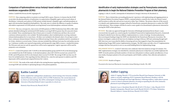#### Comparison of hydromorphone versus fentanyl-based sedation in extracorporeal membrane oxygenation (ECMO)

Authors: Landolf KM; Rivosecchi RM, Sappington PL

**PURPOSE:** Data comparing sedatives in patients receiving ECMO is sparse. However, it is known that the ECMO circuit alters the pharmacokinetics of medications via sequestration of lipophilic agents and increased volume of distribution. Commonly used sedatives ECMO patients include fentanyl, a lipophilic agent, and hydromorphone an agent with intermediate lipophilicity/hydrophilicity. This study aims to evaluate the difference in quality of sedation, and sedative requirements in ECMO patients receiving fentanyl versus hydromorphone continuous infusion.

**METHODS:** This was a retrospective, chart review of ECMO patients at UPMC Presbyterian from 2016 to 2018. Adult patients identified utilizing the institutional ECMO database receiving ECMO for greater than 48 consecutive hours were included. Those cannulated greater than 24 hours prior to transfer to Presbyterian and those who received continuous infusion paralytics were excluded. The hydromorphone cohort included patients receiving continuous infusion hydromorphone for 6 or more hours. All others were included in the fentanyl cohort, if receiving 6 or more hours continuous infusion fentanyl. Patients were followed starting 12 hours after cannulation until de-cannulation or for 14 days, whichever occurred sooner. Primary outcomes included days delirium free/coma free and median narcotic use. Continuous variables were reported using median and interquartile range (IQR) or means ± standard deviations. The Wilcoxon rank sum test and chi-squared tests will be used as appropriate. Logistic regression will be used for propensity score estimation.

**RESULTS:** A total of 163 patients with 73 (44.8%) in the hydromorphone group and 90 (55.2%) in the fentanyl group were included from the ECMO database. In the hydromorphone cohort 28/73 (38.4%) received veno-arterial (VA) ECMO, and 41/90 patients (45.6%) in the fentanyl cohort received VA ECMO. The average ECMO run time was 235 hours for included patients. Data regarding total days delirium free, coma free and exposure to sedatives and CNS depressants will be analyzed and compared between the 2 cohorts.

**CONCLUSIONS:** The results of this study will add to the existing literature regarding sedation practices in patients receiving ECMO and contribute to optimizing therapy in this patient population.



#### **Kaitlin Landolf**

Kaitlin completed her undergraduate and pharmacy school training at the University at Buffalo School of Pharmacy and is currently a PGY1 at UPMC Presbyterian. Her current interests lie in critical care and neurology. She will be continuing her training next year as a PGY2 at the University of Maryland Medical Center to specialize in critical care.

Mentor(s): Ryan Rivosecchi, PharmD, BCCCP

### Identification of early implementation strategies used by Pennsylvania community pharmacists to begin the National Diabetes Prevention Program at their pharmacy.

Lapping A, Coley K, Carroll J, Antinopoulos B, Richardson R, Doong K, McGivney M, Berenbrok LA.

**PURPOSE:** There is limited data surrounding pharmacists' experiences with implementing and engaging patients in the National Diabetes Prevention Program (NDPP), a national initiative created by the Centers for Disease Control and Prevention to utilize diet and exercise to prevent or delay Type 2 Diabetes. The primary objective of this research is to identify early implementation strategies utilized by Pennsylvania community pharmacists to conduct the NDPP at their pharmacy. These strategies will then be used to create a guide to be disseminated to pharmacists interested in starting the NDPP at their pharmacy.

**METHODS:** The study was approved through the University of Pittsburgh Institutional Review Board. A semistructured interview guide was created using the Consolidated Framework for Implementation Research, a framework developed to identify factors that may influence implementation in a variety of settings. Seventeen pharmacies that received grant funding to begin the NDPP were identified by the Pennsylvania Pharmacists Association. The primary investigator conducted all interviews by telephone starting in February 2019 and continuing through April 2019. Interviews were transcribed for fidelity of meaning and were then mapped to Expert Recommendations for Implementing Change (ERIC) project implementation strategies. The ERIC project provides a list of 73 implementation strategies that have been proven to serve as successful building blocks for implementing change.

**PRELIMINARY RESULTS:** A total of 7 interviews were conducted. Interviews lasted an average of 15 minutes. Five ERIC implementation strategies were identified by community pharmacists to help them successfully implement the NDPP: (1) involve patients and family members; (2) intervene with patients to enhance uptake and adherence; (3) use mass media; (4) prepare patients to be active participants; and (5) build a coalition. Data collection and analysis is ongoing.

**CONCLUSIONS:** Results in Progress

*Presented at the American Pharmacists Association Annual Meeting in Seattle, WA, 2019*



### **Amber Lapping**

Amber D. Lapping, PharmD, CTTS received her PharmD from Duquesne University in 2018. Amber is currently completing a PGY1 Community-Based Pharmacy Residency with the University of Pittsburgh and Giant Eagle Pharmacy. Following residency, Amber plans to pursue a career in clinical community pharmacy, focusing on expanding the role of the community pharmacist in providing patient care services.

Mentor(s): Lucas A. Berenbrok, PharmD, MS, BCACP, CTTS; Kim C. Coley, PharmD, FCCP; Brandon Antinopoulos, PharmD; Joni Carroll, PharmD, BCACP, CTTS; Renee' Richardson, PharmD; Melissa A. Somma McGivney, PharmD, FCCP, FAPhA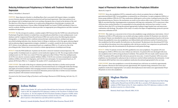#### Reducing Antidepressant Polypharmacy in Patients with Treatment-Resistant Depression

Maline J, McQuillan A, Kozarian R

**PURPOSE:** Major depressive disorder is a disabling illness that is associated with frequent relapses, incomplete recovery between episodes, and persistent psychosocial and functional impairment. Often times patients do not have adequate trials of antidepressants due to not reaching a therapeutic dose or based on the duration of the trial. The objectives of this drug use evaluation are to analyze prescribing patterns of psychotropics in patients with treatment-resistant depression at Veteran Affairs Pittsburgh Health Care System (VAPHS) and identify if there is a need for academic detailing outreach to educate providers on inappropriate prescribing patterns and other treatment modalities for depression.

**METHODS:** For this retrospective analysis, a random sample of 100 Veterans from the VAPHS were selected from the Psychotropic Drug Safety Initiative to include those concomitantly prescribed three or more antidepressants. Local databases and the Computerized Patient Record System (CPRS) were used to extract the following data elements: demographics, co-morbid psychiatric conditions and psychotropic medication history, antidepressant agents prescribed including indication, dose, duration, history of allergy or intolerance to first-line agents, pharmacological and non-pharmacological augmentation strategies, scheduled vs. as needed, consults for electroconvulsive therapy (ECT), history of non-adherence, measurement based care completions (PHQ-2 or -9), and service line of the prescribing provider. Patient charts were reviewed to evaluate appropriateness of antidepressant therapy.

**RESULTS:** From the PDSI dashboard, 33 patients met the above criteria for treatment resistant depression. The average number of antidepressants on a patient's current medication regimen was 3.06. The average number of failed antidepressants was 3.03. There was a total of 79 first-line agents prescribed. Of those 79 first-line antidepressants, 26 (32.9%) were selective-serotonin reuptake inhibitors (SSRIs), 13 (16.4%) were serotonin-norepinephrine reuptake inhibitors (SNRIs), 28 (35.4%) were bupropion, and 12 (15.1%) were mirtazapine. For measurement based care, 29 patients (87.8%) had a PHQ-2 or -9 completed. The number of ECT consults placed was 0.

**CONCLUSIONS:** The results of this drug use evaluation provide evidence that there is a further need to provide adequate trials of antidepressants, increase utilization of measurement based care to help guide medication therapy, and employ all treatment modalities when managing treatment-resistant depression in our Veteran population. VAPHS is exploring implementation of an intranasal esketamine protocol and clinic to further increase treatment options for patients with treatment resistant depression.

*Presented at the 22nd Annual College of Psychiatric and Neurologic Pharmacists (CPNP) Meeting, Salt Lake City, UT, 2019.*



#### **Joshua Maline**

Joshua is from Omaha, NE, and received his PharmD from the University of Nebraska Medical Center in 2017. He completed his PGY1 pharmacy residency at the Tuscaloosa VA Medical Center in Tuscaloosa, AL. He will complete the PGY2 Psychiatric Residency Program at VAPHS, which has collaborated with the Western Psychiatric Institute & Clinic of UPMC, in July 2019. Joshua plans to pursue a clinical pharmacy specialist position in psychiatry.

#### Impact of Pharmacist Intervention on Stress Ulcer Prophylaxis Utilization

#### Martin M, Cooper B

**PURPOSE:** Stress ulcer prophylaxis (SUP) is commonly used in critical care patients that are at high risk for gastrointestinal bleeds (GIB). Current guidelines recommend the use of histamine-2 receptor antagonists (H2RAs), or proton-pump inhibitors (PPIs) for SUP. These medications inhibit gastric acid secretion, resulting in protection of the gastrointestinal mucosa. However, this mechanism can result in severe adverse effects such as fractures, *Clostridium difficile* associated diarrhea, hypomagnesemia or pneumonia with long-term continuation. SUP is unnecessary when risk factors have resolved therefore it is recommended to be discontinued after risk factors have resolved. A recent study has shown that SUP is not being discontinued appropriately, leading to longer hospital stays and unnecessary continuation with discharge. The purpose of this study is to analyze the impact of implementing a protocol to prevent unnecessary utilization of SUP.

**METHODS:** This study was a concurrent review of stress ulcer prophylaxis usage and pharmacy intervention. A list of all patients on H2RA or PPI medications was run daily and using a random calculator 10-20 patients were selected to be evaluated. Patients were identified for stress ulcer prophylaxis indication and appropriateness based on risk factors. Patients that qualified for stress ulcer prophylaxis were followed daily until risk factors resolved. If started on stress ulcer prophylaxis but did not qualify, the medication was discontinued. The pharmacist also discontinued SUP if the care team did not discontinue stress ulcer prophylaxis after risk factors resolved. Cost comparison was performed by extrapolating the days after discontinuation by the pharmacist until patient discharge.

**RESULTS:** Of the 727 patients reviewed, 104 (14%) qualified for stress ulcer prophylaxis. Two patients (2%) were discharged on a H2RA or PPI for stress ulcer without any risk factors. Six patients (6%) were discharged with stress ulcer prophylaxis due to still receiving mechanical ventilation. Three patients (3%) were made comfort measure only (CMO). Ten patients (10%) expired while risk factors present for stress ulcer. A total of 21 patients' (20%) stress ulcer prophylaxis was discontinued by a pharmacist due to risk factors resolved without medication discontinuation. A total of 62 patients (60%) had their stress ulcer prophylaxis medication discontinued appropriately by the care team.

**CONCLUSIONS:** Stress ulcer prophylaxis is correctly discontinued once risk factors are resolved in approximately 60% of patients. Pharmacist intervention prevents approximately 20% of patients being continued on stress ulcer prophylaxis medications inappropriately. Cost analysis showed pharmacist intervention saves approximately \$70 per 100 patients on stress ulcer prophylaxis.



### **Meghan Martin**

Meghan is from Delmont, PA. She received her bachelor's degree in chemistry from Thiel College in 2016 and her PharmD from LECOM in 2018. She is currently a PGY1 pharmacist practice resident at UPMC Hamot in Erie, PA. Upon completion of her PGY1 pharmacy residency in 2019, she plans to practice in a clinical setting.

Mentor(s): Brad Cooper, PharmD, MBA, FCCM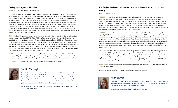#### The Impact of Age on ICU Delirium

McHugh C, Kane-Gill SL, Kirisci L, Smithburger PL

**PURPOSE:** Intensive care unit (ICU) delirium is defined as an acute and fluctuating disturbance in cognition and consciousness that occurs in approximately 80% of patients in the ICU. It is recommended that all ICU patients be screened for delirium daily with a valid, reliable delirium assessment tool such as the Intensive Care Delirium Screening Checklist (ICDSC). The ICDSC aims to capture the waxing and waning nature of delirium at the bedside through 8 domains: altered level of consciousness, inattention, disorientation, hallucination-delusion- psychosis, psychomotor agitation or retardation, inappropriate speech or mood, sleep/wake cycle disturbance, and symptom fluctuation. The ability to characterize the presentation of delirium according to a patient's age, would aid in identifying ICU delirium, especially hypoactive delirium which is the most difficult to detect. The aim of this project is to evaluate the qualities and characteristics of delirium stratified by age group, and to identify if certain domains of the ICDSC predict antipsychotic prescribing.

**METHODS:** This IRB approved, prospective, observational study reviewed the electronic medical record of patients admitted to a 24 bed medical ICU (MICU) at UPMC Presbyterian from August 2018 – April 2019. Patients were excluded if they were admitted to another ICU prior to MICU admission, had an ICDSC score of ≥ 4 within 4 hours of admission, were comatose at any point during ICU admission or at a Riker score of  $\leq$  2 (RASS  $\leq$ -4), experiencing alcohol withdrawal, or paralyzed. The primary end point was the frequency of individual domains of the ICDSC score stratified by age group ( $\leq$  49 years, 50-64 years, and  $\geq$  65 years). Secondary end points included the prescribing of antipsychotic medications based on individual domains of the ICDSC score as well as the incidence of delirium, time to first delirious episode, and percent time delirious stratified by age group.

**RESULTS:** Using multivariate analysis of variance (MANOVA), a sample size calculation determined 70 patients in each group (210 patients total) would be required to achieve 80% power assuming a type I error rate of 0.05 with 3 groups and 8 dependent variables. Results are pending and were not available at the time of abstract submission.

**CONCLUSIONS:** No conclusions can be drawn until results of the research are analyzed.

![](_page_17_Picture_6.jpeg)

#### **Caitlin McHugh**

Dr. McHugh received her PharmD from Duquesne University in 2017, completed her PGY1 Pharmacy Practice Residency at UPMC Mercy, and is currently completing her PGY2 Critical Care Pharmacy Residency at UPMC Presbyterian. Prior to pharmacy school, she received a Bachelor of Science degree in Health Sciences from James Madison University is Harrisonburg, VA, where she was a member of the division I women's lacrosse team. Dr. McHugh is pursuing a clinical specialist position in the area of critical care and emergency medicine.

Mentor(s): Sandra Kane-Gill, PharmD, MS, FCCM, FCCP; Pamela L. Smithburger, PharmD, MS, BCPS, BCCCP, FCCP, FCCM

#### Use of adjunctive ketamine in resistant alcohol withdrawal: impact on symptom severity

Meyer AL, Ganchuk S, Miller T

**PURPOSE:** Resistant alcohol withdrawal (RAW), often defined as alcohol withdrawal requiring greater than 40 milligrams of diazepam per hour or when a second class of sedative agents is needed within 24 hours, can be challenging to manage. Recent studies have analyzed the use of ketamine for the management of RAW. Ketamine, an N-methyl-D-aspartate (NMDA) receptor antagonist, appears to provide added benefit when used with gammaaminobutyric acid (GABA) agonists. At our institution, use of the withdrawal assessment scale (WAS) dictates management of patients presenting with alcohol withdrawal. The purpose of this study was to assess the effect on the WAS in patients presenting with RAW receiving adjunctive ketamine.

**METHODS:** A retrospective chart review included patients admitted to UPMC Mercy between January 1, 2016 and August 31, 2018. Patients must have been admitted to the intensive care unit (ICU) for management of RAW. Patients in the treatment group received adjunctive ketamine within 48 hours of admission while patients in the comparator group received therapy for RAW excluding ketamine. Usage of benzodiazepines and phenobarbital, expressed as diazepam equivalents, as well as need for additional agents, propofol and/or dexmedetomidine, were recorded and compared between groups. The primary outcome was change in the baseline WAS and change in mean daily WAS between groups. Secondary outcomes included amount of diazepam equivalents required, ICU length of stay, and hospital length of stay.

**RESULTS:** A total of 34 patients were included in this study. The mean baseline WAS in the treatment group was 16.3 (range 8-33) vs. 17.9 (range 0-37) in the comparator group. Mean daily WAS was higher in the comparator group on days 1-3, with day 3 showing the greatest difference between groups (21.2 vs. 14.2 in the treatment and comparator groups, respectively). No patients in the treatment group required adjunctive propofol or dexmedetomidine while 46.7% of patients in the comparator group required adjunctive agent(s) (8/30 patients received propofol, 10/30 patients received dexmedetomidine). Analysis of diazepam equivalent requirements is ongoing.

**CONCLUSIONS:** Patients receiving ketamine for RAW may have a higher mean daily WAS than patients treated for RAW without ketamine.

*Presented at the 76th Annual ASHP Midyear Clinical Meeting, Anaheim, CA, 2018.*

![](_page_17_Picture_17.jpeg)

### **Abby Meyer**

Abby is from Saint Marys, PA and received her PharmD from the University of Pittsburgh in 2018. She is currently a PGY-1 Pharmacy Resident at UPMC Mercy. Upon completion of PGY-1, she will complete a PGY-2 in Critical Care at UPMC Presbyterian.

Mentor(s): Steven Ganchuk, PharmD; Taylor Miller, PharmD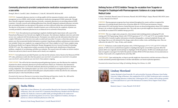#### Community pharmacist-provided comprehensive medication management services: a case series

Doong K, Mitra S, Carroll JC, Jukic S, Rosikiewicz C, Coley KC, McGrath SH, McGivney MS

**PURPOSE:** Community pharmacy practice is evolving rapidly with the expansion of patient-centric, medication management services (MMS), which include comprehensive medication management (CMM) nationwide. Through these clinically integrated community pharmacy networks, community pharmacists are providing enhanced MMS to patients. Currently, research and resulting publications from clinically integrated community pharmacy networks have not included detailed case descriptions of the patient care that is delivered within these network pharmacies. The objective of this project is to identify a breadth of patient cases to fully describe the complexity of patient care currently provided by community pharmacists in an enhanced service network in Pennsylvania.

**METHODS:** Forty-three pharmacists participating in regularly scheduled quality improvement calls as part of the Pennsylvania Pharmacist Care Network were eligible for this project. Key informant, telephonic interviews and verbal surveys were conducted with Network pharmacists. Participants were asked to provide information about their most complex CMM patient case. Interviews were audio-recorded and transcribed. To ensure a robust data analysis, only patient cases that incorporated detailed information on patients' drug therapy problems and pharmacist interventions were included. Patient case complexity was categorized from Level 1 (least complex) to Level 5 (most complex) using the Minnesota Health Care Programs Medication Therapy Management Services Current Procedural Terminology (MTMS CPT) code. This categorization includes assessment of drug related needs, identification of drug therapy problems, complexity of care planning, and follow-up evaluation. The research team will conduct an iterative analysis of interview and survey data to uncover themes and to classify case complexity.

**RESULTS:** Seven pharmacists provided 10 patient cases that met the inclusion criteria. Based on the Minnesota MTMS CPT codes, preliminary results show that four patient cases were level 5, two patient cases were level 4, two patient cases were level 3, and two patient cases were level 2. Data analysis is ongoing.

**CONCLUSIONS:** This will be the first statewide purposeful gathering of patient cases that illustrate the complexity of patients for whom community pharmacists provide medication-related care. Preliminary data demonstrate Pennsylvania Pharmacists Care Network community pharmacists provided care to a variety of patients who have varying complexities. The resulting descriptive case series can be 1) utilized for training pharmacists or other health care professionals and 2) shared with health payers and policymakers to better describe the role community pharmacists play in value-based healthcare models.

*Presented at the American Pharmacists Association Annual Meeting and Exposition, Seattle, Wa., 2019 and the Pennsylvania Pharmacists Association Midyear Meeting, Gettysburg, Pa., 2019.*

![](_page_18_Picture_7.jpeg)

#### **Sneha Mitra**

Sneha Mitra is from Allentown, PA, and earned her PharmD at the University of Pittsburgh School of Pharmacy. She is the current PGY-1 Community-Based Pharmacy Resident with Pitt Pharmacy and Rite Aid. Sneha has a interest in public health, providing healthcare for underserved populations, and advancing patient care services. Upon completion of residency, she hopes to practice as a clinical community pharmacist at Rite Aid.

#### Defining Factors of P2Y12 Inhibitor Therapy De-escalation from Ticagrelor or Prasugrel to Clopidogrel with Pharmacogenomic Guidance at a Large Academic Medical Center

Lindsay N. Moreland, PharmD, James M. Stevenson, PharmD, MS, BCPP, Philip E. Empey, PharmD, PhD, BCPS, James C. Coons, PharmD, FCCP, BCCP

**PURPOSE:** Pharmacogenomic programs have been initiated throughout the country and have recognized the importance of escalating therapy based on loss of function alleles for CYP2C19 post-percutaneous coronary intervention (PCI) with stenting. However, limited literature focuses on characterizing patients whose P2Y12 inhibitor therapy is de-escalated with pharmacogenomic data. This study aims to provide insight into characteristics of patients successfully de-escalated P2Y12 inhibitor therapy post-PCI.

**METHODS:** This was a single center, prospective, observational study including patients undergoing PCI with stenting and CY2C19 genotyping. Patients with CYP2C19 genotypes of \*1/\*1, \*1/\*17, and \*17/\*17, were included. Patients were followed for 6 months to gather information on baseline demographics, continued antiplatelet therapy and any changes that occur with rationale for the change, major adverse cardiac events, and bleeding events. Data was collected at the index PCI, 7 days, 30 days, and 6 months.

**RESULTS:** Preliminary results include 165 patients with a CYP2C19 genotypes of \*1/\*1, \*1/\*17, and \*17/\*17. Of the 165 patients, 27 (16%) were de-escalated from ticagrelor to clopidogrel during the current follow up period. 108 of 165 patients (66%) were originally started and kept on clopidogrel. Of the 165 patients, 30 (18%) were initially placed and kept on ticagrelor or prasugrel. Over half of the patients included, 89/165 (53.9%) had a history of revascularization at baseline. Final results to be completed by the end of May 2019.

**CONCLUSIONS:** Upon analyzing data, we hope to provide insight into characteristics and data outcomes of those deescalate and identify potential opportunities to further individualize care based on pharmacogenomics.

*Presented at the Annual American College of Cardiology Meeting, New Orleans, LA, 2019.*

![](_page_18_Picture_17.jpeg)

#### **Lindsay Moreland**

Lindsay Moreland is from Evansville, IN, and received her Doctorate of Pharmacy from Purdue University College of Pharmacy. She completed her PGY1 at UPMC Presbyterian and is currently a PGY2 cardiology pharmacy resident there. Following her PGY2, Lindsay will be taking a position as a clinical pharmacist as a part of the Mechanical Circulatory Device Support Team at Mayo Clinic.

Mentor(s): James C. Coons, PharmD, FCCP, BCCP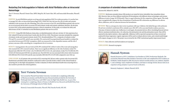#### Restarting Oral Anticoagulation in Patients with Atrial Fibrillation after an Intracranial Hemorrhage

Terri V. Newman, PharmD, Nemin Chen, MPH, Meiqi He, MS, Samir Saba, MD, and Inmaculada Hernandez, PharmD, PhD

**PURPOSE:** In atrial fibrillation patients receiving oral anticoagulation (OAC) for stroke prevention, it is unclear how to manage OAC after an intracranial hemorrhage (ICH). While OAC does decrease the risk of stroke and systemic embolism it also increases the risk of bleeding. Due to the occurrence of an ICH, atrial fibrillation patients who survive are at an increased risk for both a recurrent ICH and ischemic stroke and systemic embolism; therefore, the decision to restart OAC in this patient population presents a clinical conundrum. In this study, we evaluate the safety and effectiveness of OAC re-initiation in atrial fibrillation patients who survive an ICH.

**METHODS:** Using 2010-2016 Medicare claims data, we identified patients with non-valvular AF who experienced an OAC-related ICH and survived at least 6 weeks after the ICH (n=1,502). The primary outcomes included the composite of ischemic stroke and transient ischemic attack (TIA), thromboembolism (TE), a composite of ischemic stroke/ TIA and TE, recurrent ICH, and all-cause mortality. We constructed Cox proportional hazard models to evaluate the association between post-ICH OAC resumption, which was measured in a time-dependent manner, and the risk of primary outcomes while controlling for a comprehensive list of covariates.

**RESULTS:** Among patients who survived an ICH, 69% reinitiated OAC within 6 weeks of the event and among those who resumed OAC, 83% restarted warfarin. There was no significant difference in the risk of ischemic stroke/TIA [hazard ratio (HR) 0.87; 95% CI 0.62–1.21], TE (HR 0.84; 95% CI 0.54-1.31), and ischemic stroke/TIA/TE (HR 0.81; 95% CI 0.61-1.07) between post-ICH OAC use and non-use. Post-ICH OAC use was associated with a lower risk of recurrent ICH (HR 0.62; 95% CI 0.41-0.95) and all-cause mortality (HR 0.48; 95% CI 0.39-0.60) compared to non-OAC use.

**CONCLUSIONS:** In AF patients who survived an ICH, restarting OAC did not confer a greater risk of recurrent ICH. Randomized controlled studies should be conducted in order to provide further evidence of the clinical benefit of restarting OAC in this high-risk population. Further evaluation of which individuals benefit from restarting OAC is also needed to provide more clinical guidance.

![](_page_19_Picture_6.jpeg)

#### **Terri Victoria Newman**

Terri earned her PharmD from Butler University. Currently she is completing a fellowship in Pharmacoeconomics and Health Outcomes Research jointly provided by the University of Pittsburgh School of Pharmacy and UPMC Center for High-Value Health Care. As part of her training she is completing a Master of Science in Health Services Research and Health Policy from the University of Pittsburgh School of Public Health.

Mentor(s): Inmaculada Hernandez, PharmD, Phd; Natasha Parekh, MD, MS.

#### A comparison of extended release metformin formulations

#### Nystrom HG, Ballard SL, Hall DL

**PURPOSE:** Metformin extended release (ER) products are touted for better tolerability than immediate release (IR). However, there are three different metformin ER formulations with different release technologies and extreme differences in price (range: \$4-\$750/month.) There is a gap in literature for the comparison of these agents. This study aims to pragmatically compare the three formulations of metformin ER to determine any differences in adverse effects, adherence, and A1c reduction between the formulations.

**METHODS:** This is a retrospective chart review in patients with type 2 diabetes who failed therapy with metformin IR and were switched to metformin ER in calendar years 2014-2017 at five associated family residency practices. Outcomes of interest include rate of adherence to each agent, documented adverse effects (including financial adverse effects), maximum metformin dose, A1c reduction, discontinuation rate and discontinuation reason. Data will be reported in descriptive statistics, where applicable. Adherence will be reported in proportion of days covered and analyzed by linear regression. Logistic regression will be used to evaluate adverse events, and a mixed model design will compare changes in A1c%. This project was reviewed by the UPMC institutional quality improvement board.

**RESULTS:** Data collection and final analysis are in progress.

**CONCLUSIONS:** Research in progress

![](_page_19_Picture_16.jpeg)

#### **Hannah Nystrom**

Hannah Nystrom is a PGY-2 Ambulatory Care Resident at UPMC Presbyterian Shadyside. She received her PharmD from Ohio Northern University in 2017 and completed her PGY1 residency at ProMedica Toledo Hospital in 2018. Her practice interests include primary care, diabetes, hepatitis C, and cardiology. Upon completion of residency, she hopes to manage chronic disease states in an outpatient setting and plans to pursue board certification.

Mentor(s): Stephanie L. Ballard, PharmD, BCPS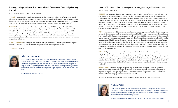#### A Strategy to Improve Broad Spectrum Antibiotic Overuse at a Community-Teaching Hospital

Sehrish Panjwani, PharmD, Aaron Pickering, PharmD

**PURPOSE:** Patients are often started on multiple antimicrobial agents empirically to cover for numerous possible infecting organisms, and many times these agents are used inappropriately. With increasing overuse of these agents, this study aims to determine the effect of implementing an automatic infectious disease (ID) consult on the length of broad spectrum antimicrobial therapy, specifically vancomycin (VAN) and piperacillin/tazobactam (TZP).

**METHODS:** This was a retrospective observational study conducted at UPMC St. Margaret Hospital, a 249-bed community-teaching hospital. Patients older than 18 years of age on the combination of VAN and TZP from February 2017 to July 2018 were included in this study. Data was collected pre and post implementation (November 2017) to determine the change in length of combination VAN and TZP. Major secondary outcomes included change in prescribing characteristics, rates of acute kidney injury, *Clostridium difficile* infection rates, length of stay, and readmission rates. Categorical variables were analyzed using a chi-square test and continuous variables were analyzed using an independent t-test.

**RESULTS (PENDING):** It is anticipated that compared to the pre-intervention period, the post-intervention period will show a decrease in days of combination broad spectrum antibiotic therapy with VAN and TZP.

**CONCLUSIONS:** Pending.

![](_page_20_Picture_6.jpeg)

#### **Sehrish Panjwani**

Sehrish is from Coppell, Texas. She received her PharmD from Texas Tech University Health Sciences Center School of Pharmacy in Abilene, TX in 2018. She is currently completing an ASHPaccredited PGY-1 pharmacy practice residency at UPMC St. Margaret, where she will go on to complete her PGY-2 geriatric pharmacy residency. She is also concurrently completing a Faculty Development Fellowship at UPMC St. Margaret and hopes to pursue a career in academia in the future.

Mentor(s): Aaron Pickering, PharmD

#### Impact of lidocaine utilization management strategy on drug utilization and cost

Patel N, Heasley J, Jose A, Ni D

**PURPOSE:** A large national pharmacy benefits manager (PBM) identified a trend of increased cost and quantity per claim for topical lidocaine or lidocaine-containing products. In an effort to help commercial clients manage this trend, a topical lidocaine utilization management (UM) strategy was offered in April 2017. This strategy consisted of a quantity limit with a prior authorization (PA) requirement for quantities exceeding the limit. The intent of the limit and PA was to provide coverage that reflects U.S. Food and Drug Administration guidance, standards of medical practice and evidence-based drug information. The objective of the study was to evaluate the impact of UM strategies implemented by a large national PBM on the utilization and cost of topical lidocaine-containing products within a commercial employer population.

**METHODS:** A retrospective claims-based analysis of lidocaine-containing products affected by the UM strategy was performed. Five commercial employer groups that implemented the UM strategy were compared to five that did not. Data was analyzed for the quarter preceding and year following the April 2017 implementation of the UM strategy. The primary endpoint was the percent changes in average daily dose for each lidocaine-containing product following the implementation of the UM strategy. Secondary outcomes analyzed the change in gross cost per 10,000 members per month. Additional secondary outcomes identified number of episodes exceeding quantity limit, number of post-limit PA episodes initiated, number of post-limit PA approvals, number of post-limit PA denials, number of post-limit PA episodes where reduced quantities were filled, number of post-limit PA episodes where the product was not filled, and estimated client cost savings.

**RESULTS:** All products, except lidocaine 4% solution, had statistically significant lower average daily doses for employer groups that implemented the UM strategy when comparing pre- and post-implementation. Employer groups that implemented the UM strategy showed an 81.9% decrease in gross cost per 10,000 members per month compared to a 29.3% increase for employer groups that did not. Only 2.4% of episodes exceeding the quantity limit resulted in an initiation of a post-limit PA. Of the post-limit PA episodes initiated, 36.3% were approved, 63.7% were denied, 41.0% resulted in reduced quantities filled, and 33.1% resulted in the product not being filled. Estimated client cost savings was \$53,029.

**CONCLUSIONS:** Commercial employer groups who implemented the UM strategy had decreased quantities and decreased cost per 10,000 members per month for lidocaine-containing products when comparing the postimplementation period to the pre-implementation period. Quantity limits and post-limit PAs can be an effective intervention for decreasing topical lidocaine utilization and costs.

*Presented at the AMCP Managed Care & Specialty Pharmacy Annual Meeting 2019, San Diego, CA, 2019.*

![](_page_20_Picture_17.jpeg)

# **Nishta Patel**

Nishta is originally from Phoenix, Arizona and completed her undergraduate coursework at University of Arizona before receiving her PharmD from University of California, San Francisco in 2018. Upon completion of her managed care residency at CVS Health, she hopes to continue practicing within a managed care organization.

Mentor(s): Jennifer Heasley, PharmD, M.S.; Abraham Jose, PharmD; Danfeng Ni, PharmD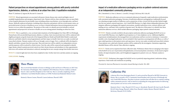### Patient perspectives on missed appointments among patients with poorly controlled hypertension, diabetes, or asthma at an urban free clinic: A qualitative evaluation

Pham TT, Jonkman LJ, Ingram JM, Ricciuti D, Connor SE

**PURPOSE:** Missed appointments are associated with poorer chronic disease state control and higher rates of avoidable hospitalizations and emergency department visits. Patients with low clinic attendance rates are more likely to have hospital admissions for preventable causes including asthma exacerbations, severe hyperglycemia, and heart disease. Medically underserved patients, including ethnic minorities and patients with low socioeconomic status, are particularly prone to barriers to healthcare access, yet there is limited information characterizing patient perceived barriers to access within this population. The purpose of this study is to identify perceived attitudes to missed appointments and perspectives on barriers to health care access among patients attending an urban free clinic.

**METHODS:** This is a qualitative, cross-sectional study of patients at the Birmingham Free Clinic (BFC) in Pittsburgh, Pennsylvania with uncontrolled hypertension, diabetes, or asthma. Semi-structured interviews will be conducted with eligible participants using the framework of the Integrated Behavior Model and Health Belief Model to understand behaviors and beliefs related to missed appointments and their impact on health. Interviews are audio-recorded and transcribed verbatim. Thematic analysis will occur through a series of stages. First, a codebook will be developed to identify and define concepts from the transcripts. Then each interview will be coded by two independent reviewers and discrepancies will be resolved by a third reviewer. Next the codes will be connected and expanded to identify larger themes related to patient perceived control over their chronic diseases and attendance to clinic appointments. Interviews will continue until saturation is achieved, meaning that no new concepts emerge from further interviews.

**RESULTS:** A total of eight interviews have been completed to date. Further interviews and data analysis are ongoing.

**CONCLUSIONS:** Pending

![](_page_21_Picture_6.jpeg)

#### **Theo Pham**

Theo received their Bachelor of Science in Biology in 2013 and Doctor of Pharmacy in 2017 from the University of Washington. They completed a PGY1 Pharmacy Practice residency at Mount Sinai St. Luke's and West Hospitals in New York City. Theo is currently completing a PGY2 Ambulatory Care/Global Health residency at UPMC Presbyterian/Shadyside Medical Center.

Mentor(s): Sharon Connor, PharmD; Lauren Jonkman, PharmD, MPH

#### Impact of a medication adherence packaging service on patient-centered outcomes at an independent community pharmacy

Phi C, Berenbrok LA, Firm A, Meston L, Carroll JC, Doong K, McGivney MS, Coley KC

**PURPOSE:** Medication adherence services at community pharmacies frequently couple medication synchronization with convenient medication packaging. Outcomes of medication adherence packaging have traditionally focused on evaluating surrogate markers of adherence such as proportion-of-days-covered, but this provides limited insight into the true, patient-centered experience. Asti's South Hills Pharmacy is a high-volume independent pharmacy that integrates adherence packaging with targeted conversations, monthly medication review, extensive delivery and mailing services, and home visits to patients of greatest need. The objective of this project is to identify how these medication adherence services, which include adherence packaging, impact patient-centered outcomes.

**METHODS:** Patients currently enrolled in the prescription medication adherence packaging (RxMAP) service at Asti's South Hills Pharmacy were eligible for participation in a 13-item telephonic survey. Additional eligibility requirements included patients who managed their own medications and have received, at minimum, 2 consecutive monthly cycles of packaged medication. Surveys included 6 Likert questions assessing patient self-efficacy, as well as 7 open-ended questions to elicit patient stories and experiences. Surveys were audio-recorded and transcribed verbatim. Transcriptions were coded and a thematic analysis will be conducted by the investigators. Quotations supporting identified themes will be selected. Data collection is ongoing.

**RESULTS:** Twenty survey responses have been collected to date. Preliminary themes that are emerging on the impact of the RxMAP service are: (1) prevention of hospitalization, (2) increased patient convenience, (3) decreased caregiver burden, (4) improved patient safety, and (5) heightened engagement in patient's own care. Thematic analysis is ongoing.

**CONCLUSIONS:** Preliminary data suggest the RxMAP service is positively impacting patients' medication-taking experiences. Final results and conclusions are pending.

*Presented At: American Pharmacists Association Annual Meeting in Seattle, WA, 2019.*

![](_page_21_Picture_17.jpeg)

### **Catherine Phi**

Catherine Phi is from Huntington Beach, CA and received her PharmD at MCPHS University in Boston. She is currently a PGY-1 Community-based Resident with University of Pittsburgh and Asti's South Hills Pharmacy. She plans to pursue a position that will allow her to continue working within community practice, with an interest in expanding the rising opportunities for delivering clinical patient care services at the community level.

Mentor(s): Kim C. Coley, PharmD, FCCP; Lucas A. Berenbrok, PharmD, MS; Joni Carroll, PharmD, BCACP; Katie Doong, PharmD; Ashley Firm, PharmD; Lindsey Meston, PharmD; Melissa S. McGivney, PharmD, FCCP, FAPhA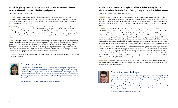#### A multi-disciplinary approach to improving penicillin allergy documentation and peri-operative antibiotic prescribing in surgical patients

Raghavan A, Campbell RJ, Pickering AJ

**PURPOSE:** Patients with a reported penicillin allergy often receive second-line antibiotics for peri-operative prophylaxis, which is associated with higher rates of surgical site infection (SSI) compared to first-line, beta-lactam antibiotics. A multidisciplinary approach to penicillin allergy review prior to surgery will increase the number of patients placed on preferred antibiotics.

**METHODS:** All patients receiving total hip or total knee replacement, and hysterectomy surgeries at UPMC St. Margaret were retrospectively reviewed (Nov 2017-Feb 2018/ Pre-period). Prospectively (Nov 2018-Feb 2019/ Postperiod) all patients satisfying inclusion criteria were audited daily for correct antibiotic prescription. The intervention included education to surgical services followed by an algorithm created for pharmacists to guide appropriate perioperative antibiotic selection. The main outcome was the number of patients placed on preferred peri-operative antibiotics.

**RESULTS:** In the pre-period, 307 patients underwent qualified surgeries, of which 255 patients (83%) were placed on preferred antibiotics, versus in the post-period, out of 300 patients, 274 patients (91%) received the correct antibiotics (p<0.01), 95% CI for difference in proportions 8% [3%-14%]. For patients with non-severe penicillin allergies, in the pre-period, 6/34 (18%) versus post-period 9/16 (56%) were placed on preferred antibiotics (p<0.01), 95% CI for difference in proportions 38% [11%-61%]. Statistical analyses consisted of both testing and estimating the difference between two binomial proportions. P<0.01 was considered statistically significant.

**CONCLUSIONS:** A multidisciplinary peri-operative penicillin allergy review increased the number of patients placed on preferred antibiotics.

![](_page_22_Picture_6.jpeg)

#### **Archana Raghavan**

Archana received her PharmD from Virginia Commonwealth University and completed her pharmacy pre-requisites from the University of Arizona. She will complete her PGY1 residency program at UPMC St. Margaret in June. This year she will be continue her training as a PGY2 in geriatrics at UPMC St. Margaret. Archana's current professional interests include chronic disease state management of older adults. Other interests include exploring new restaurants and sites in Pittsburgh.

Mentor(s): Ronald J. Campbell, PharmD, BCPS, Aaron J. Pickering, PharmD

#### Association of Antidementia Therapies with Time to Skilled Nursing Facility Admission and Cardiovascular Events Among Elderly Adults with Alzheimer Disease

San-Juan-Rodriguez A, Zhang Y, He M, Hernandez I

**PURPOSE:** To date, no study has compared time to skilled nursing facility (SNF) admission and cardiovascular events across medications available to treat Alzheimer disease. This study aimed to compare time to SNF admission and cardiovascular events between acetylcholinesterase inhibitor (AChEI) monotherapy, memantine hydrochloride monotherapy, and combination therapy with an AChEI and memantine in treating elderly adults with Alzheimer disease.

**METHODS:** Using 2006-2014 Medicare Part D data, we identified all patients newly diagnosed of Alzheimer´s disease in 2007-2013 and selected those who initiated antidementia treatment after diagnosis. Our sample included 44,424 participants initiating monotherapy with an AChEI (36,463 donepezil, 6,950 rivastigmine, and 1,011 galantamine), 11,809 monotherapy with memantine, and 17,242 combination therapy with an AChEI and memantine. The primary outcome was the composite of acute myocardial infarction, bradycardia, syncope, atrioventricular block, QT interval prolongation, and ventricular tachycardia; secondary outcomes included the risk of each of these events. We constructed Cox proportional hazard models adjusted by multiple covariates to compare outcomes between groups. We used Bonferroni correction to control for the increased rate of Type I error associated with 3 pairwise comparisons.

**RESULTS:** There was no difference in time to SNF admission across treatment groups. The risk of any cardiovascular side effect was higher for AChEI monotherapy (hazard ratio [HR] 1.07; 95%CI 1.02-1.12) and for combination therapy (HR 1.07; 95%CI 1.01-1,12) compared to memantine monotherapy. Results for the composite outcome were mostly driven by differences in the risk of bradycardia and syncope, which were higher for AChEI monotherapy (HR 1.14; 95%CI 1.05-1.22 for bradycardia and 1.09; 95%CI 1.03-1.16 for syncope) and for combination therapy (1.12; 95%CI 1.03- 1.22 for bradycardia and 1.14; 95%CI 1.06-1.21 for syncope)

**CONCLUSIONS:** Time to SNF admission did not differ across treatment groups, but memantine monotherapy was associated with a 7% lower risk of cardiovascular events compared with both AChEI monotherapy and combination therapy with an AChEI and memantine.

![](_page_22_Picture_16.jpeg)

#### **Alvaro San-Juan-Rodriguez**

I earned my PharmD from the University of Navarra (Spain) in 2017. Following my graduation, I was appointed as Research Fellow at the University of Pittsburgh. This fellowship, jointly offered by the UPMC Center for High Value Health Care and the University of Pittsburgh School of Pharmacy, aims to train future pharmacoeconomics and outcomes research experts. As part of my fellowship, I am also pursuing a MSc in Health Services Research and Policy at the University of Pittsburgh Graduate School of Public Health. My research interests include outcomes research, pharmacoepidemiology, pharmacoeconomics, and pharmaceutical policy.

Mentor(s): Inmaculada Hernandez, PharmD, PhD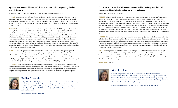#### Inpatient treatment of skin and soft tissue infections and corresponding 30-day readmission rate

Schoenle MK, Adalja AA, Weber D, Volosky R, Zisko J, Marini R, McCreary E, Oleksiuk LM

**PURPOSE:** Skin and soft tissue infections (SSTIs) result from microbes invading the skin or soft tissues below it. If a patient is readmitted to the hospital within 30 days due to an SSTI, the institution's 30-day risk-standardized readmission rate increases. This event can negatively affect Medicare and Medicaid reimbursement. The aim of this study is to describe current inpatient SSTI treatment practices at UPMC Presbyterian Shadyside and to identify areas for improvement.

**METHODS:** A retrospective chart review was conducted on patients admitted to UPMC Presbyterian Shadyside in January, April, July, or October of 2018 with an ICD-10 code indicating abscess (L02) or cellulitis (L03). Patients were excluded if they were less than 18 years old, were diagnosed with septic shock, diabetic foot infection, necrotizing infection, bacteremia, fungemia, osteomyelitis, septic arthritis, prosthetic joint infection, Morel-Lavallee lesion, infective endocarditis, chronic maxillary sinusitis, myositis, mycobacteria infection, intraabdominal infection, or perforated abdominal ulcer during admission, had a history of hidradenitis suppurativa, or whose cellulitis was miscoded. The primary objective of this study was to describe current treatment practices for patients who are hospitalized with SSTIs at UPMC Presbyterian Shadyside. The secondary objectives were to determine the rates of allcause and SSTI-related 30-day emergency department (ED) visits and hospital readmissions. The results were analyzed via descriptive statistics and Chi-Square test.

**RESULTS:** A total of 113 patient encounters were included. Seventy-seven (68%) and 36 (32%) patients presented with nonpurulent and purulent SSTIs, respectively. Twenty-seven (24%) patients had an Eron classification score of 1 without documented failure of prior outpatient antibiotic therapy. The most common antibiotic regimens were vancomycin monotherapy (33%) and cefazolin monotherapy (20%). The median total duration of antibiotic therapy was 12 days (range 1-25). Total antibiotic duration was > 14 days in 32 (28%) patient encounters. The rates of 30-day allcause (SSTI-related) ED visits and hospital readmissions were 9% (4%) and 17% (12%), respectively.

**CONCLUSIONS:** The results of this study suggest that patients admitted to UPMC Presbyterian Shadyside with SSTIs often received extended antibiotic treatments beyond the 14 days recommended by the IDSA guidelines. The calculated SSTI-related readmission rate is comparable to the 2010 national average. Quality improvement interventions are likely needed to help curb unnecessary antibiotic utilization and decrease readmissions in this patient population.

![](_page_23_Picture_6.jpeg)

### **Marilyn Schoenle**

Marilyn Schoenle is originally from Ann Arbor, Michigan. She received her Doctor of Pharmacy from Butler University in Indianapolis, Indiana. Her professional areas of interest include ambulatory care, geriatric medicine, and interprofessional education. Next year, Marilyn will continue her training in the UPMC Presbyterian-Shadyside PGY-2 ambulatory care program's family medicine track.

Mentor(s): Louise Oleksiuk, PharmD, BCP

#### Evaluation of prospective G6PD assessment on incidence of dapsone-induced methemoglobinemia in abdominal transplant recipients

Sheridan ER, Johnson HJ, Rivosecchi RM

**PURPOSE:** Sulfamethoxazole-trimethoprim is recommended as the first-line agent for prevention of *pneumocystis jirovecii* pneumonia (PJP) in solid-organ transplant recipients. However, it is estimated an average 3% of the population has an allergy or intolerance to drugs containing sulfonamide moieties. Dapsone, the recommended alternative, is metabolized to acetylated and hydroxylated metabolites thought to be responsible for the high incidence of hematologic adverse effects, namely methemoglobinemia. Risk for developing methemoglobinemia increases with decreased glucose-6-phosphate-dehydrogenase (G6PD) levels, which result from an inherited genetic mutation in the red blood cell enzyme G6PD. The purpose of this study was to determine the utility of prospective G6PD testing in predicting the incidence of methemoglobinemia in abdominal transplant patients receiving dapsone for prevention of PJP.

**METHODS:** This was a retrospective, observational quality improvement project of abdominal transplant recipients, including kidney, liver, pancreas, small bowel, or any combination thereof, transplanted between January 1, 2010 and September 30, 2018. Patients who had an order for dapsone and, in a separate analysis, patients who had results from G6PD testing, were analyzed for development of methemoglobinemia (methemoglobin > 1.5%) during the course of PJP prophylactic therapy. The association of G6PD level or dapsone treatment and incidence of methemoglobinemia was assessed using a Fisher's exact test.

**RESULTS:** Of 345 patients, 273 (79%) underwent G6PD testing and 240 (70%) patients received dapsone for PJP prophylaxis. The median G6PD level was 9.0 (4.6-13.5), with three patients considered G6PD enzyme deficient. Transplanted organs included 204 kidneys, 105 livers, 2 pancreases, 11 kidney/liver, 16 kidney/pancreas, 2 liver/ pancreas, and 1 liver/pancreas/small bowel. Determination of the relationship between G6PD result and the incidence of methemoglobinemia is pending.

**CONCLUSIONS:** Pending

![](_page_23_Picture_16.jpeg)

#### **Erica Sheridan**

Erica is a PGY-1 pharmacy resident at UPMC Presbyterian. Originally from Cleveland, OH, Erica received her PharmD and MBA from the University of Toledo College of Pharmacy and Pharmaceutical Sciences. Her professional areas of interest include cardiology, anticoagulation, and academia. Upon completion of her PGY-1, Erica will complete a PGY-2 cardiology pharmacy residency at the University of Kentucky in Lexington.

Mentor(s): Heather J. Johnson, PharmD, BCPS; Ryan M. Rivosecchi, PharmD, BCCCP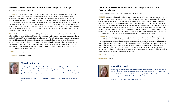#### Evaluation of Parenteral Nutrition at UPMC Children's Hospital of Pittsburgh

Sparks MK, Shenk J, Martin E, Sevilla W

**PURPOSE:** Ensuring adequate nutrition in pediatric patients is important, and it is associated with better clinical outcomes. Although enteral nutrition is preferred, parenteral nutrition (PN) may be appropriate when caloric needs cannot be met enterally. Parenteral nutrition is associated with complications including catheter infection and parenteral nutrition-associated liver disease. According to the American Society for Parenteral and Enteral Nutrition (A.S.P.E.N.) standards for nutrition support in pediatric hospitalized patients, there is a critical need for an organized interdisciplinary nutrition support team, which may lead to increased use of enteral nutrition, decreased use of PN, and decreased mortality rate. The objective of this study is to assess the current use of PN at UPMC Children's Hospital of Pittsburgh (CHP) and to determine the feasibility of a separate multidisciplinary nutrition support team comprised of a physician, pharmacist, and dietician.

**METHODS:** This project was approved by the CHP quality improvement committee. A retrospective review of PN orders at CHP from August 2018 through January 2019 was conducted. The primary outcome was to determine the rate at which PN was used for appropriate indications. Indications for PN in each patient were reviewed for appropriateness based on CHP institutional PN guidelines. Secondary outcomes included lipid product use, cost of PN, rates of CLABSIs, and PN error rates. The cost to produce PN was estimated based on purchasing data, and was categorized into drug, supply, and labor costs. Errors were categorized by severity and where in the process the error occurred. Descriptive statistics and Microsoft Excel were used to analyze data. All outcomes were analyzed to determine the feasibility of a nutrition support team at CHP.

**RESULTS:** Pending completion

**CONCLUSIONS:** Pending completion

![](_page_24_Picture_6.jpeg)

#### **Meredith Sparks**

Meredith Sparks received her PharmD from the University of Pittsburgh in 2018. She is currently a PGY1 resident at UPMC Children's Hospital of Pittsburgh. Upon completion of her residency, she has accepted a pharmacist position at the Levine Cancer Institute in Charlotte, NC. In her spare time, Meredith enjoys playing trivia, singing, traveling, and spending time with family and friends.

Mentor(s): Jennifer Shenk, PharmD, BCPPS, Erica Martin, PharmD, BCPS, Wednesday Sevilla, MD

#### Risk factors associated with enzyme-mediated carbapenem-resistance in Enterobacteriaceae

Sarah L. Spitznogle, PharmD and Brian A. Potoski, PharmD, BCPS-AQID

**PURPOSE:** Carbapenems have traditionally been employed as "last line of defense" therapy against gram-negative multi-drug resistant organisms. Recently, there has been an increase in carbapenem resistance worldwide, which significantly limits antimicrobial treatment options and poses a direct therapeutic threat. Carbapenem-resistant *Enterobacteriaceae* (CRE) hastily spreads amongst hospitalized patients and carries a high mortality rate. These characteristics illustrate the necessity for prompt identification of individuals at risk for CRE infection. Several studies have investigated risk factors for CRE acquisition, however, current literature lacks the assessment of risk factors in CRE bacteremia. This study aims to identify risk factors for enzyme mediated CRE bacteremia, using the casecase control study design. Prompt characterization of these risk factors may help to decrease the mortality burden accompanied with CRE infection and may revolutionize the clinical use of novel antimicrobials.

**METHODS:** This was a single center, retrospective, case-case control study which evaluated patients with first time positive blood cultures for CRE. The Institutional Review Board approved this study prior to data collection. Patients were included if they presented to the UPMC Presbyterian campus from 01/01/2008 - 06/30/2016, with a first-time positive blood culture for carbapenem susceptible *Enterobacteriaceae* (*Klebsiella* spp*. or E. coli*), or a first-time positive blood culture for carbapenem-resistant *Enterobacteriaceae*. Patients with negative blood cultures at UPMC Presbyterian during that time frame were matched to the CRE arm based on age, gender, and certain comorbidities. Patients were excluded if they had prior episodes of *Enterobacteriaceae* bacteremia. Deidentified data were collected by an honest broker and recorded in a password protected file.

**RESULTS:** Results in progress.

**CONCLUSIONS:** pending

![](_page_24_Picture_16.jpeg)

### **Sarah Spitznogle**

Sarah is originally from Buffalo, NY and received her PharmD from the University at Buffalo School of Pharmacy and Pharmaceutical Sciences in 2018. She is a current PGY-1 pharmacy resident at UPMC Presbyterian and will be completing a PGY-2 in Infectious Diseases next year at the University of Texas MD Anderson Cancer Center in Houston, TX.

Mentor(s): Brian A. Potoski, PharmD, BCPS-AQID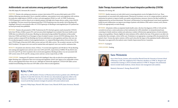#### Antithrombotic use and outcomes among genotyped post-PCI patients

Uber RB, Empey PE, Stevenson JM, Coons JC

**PURPOSE:** Patients who undergo percutaneous coronary intervention (PCI) are prescribed aspirin and a P2Y12 inhibitor following stent placement. Due to comorbid conditions, some patients receive anticoagulation with warfarin, low molecular weight heparin (LMWH), or direct oral anticoagulants (DOACs) as well. At UPMC Presbyterian, CYP2C19 genotype is used in clinical care to identify patients with high risk of major adverse cardiac events (MACE) on clopidogrel. Previous research has demonstrated that CYP2C19 genotype may also predict risk of bleeding with clopidogrel. Research concerning the effect of CYP2C19 genotype on bleeding in anticoagulated post-PCI patients has not been previously been published.

**METHODS:** Patients who presented to UPMC Presbyterian for PCI who had a genetic result returned for CYP2C19, had at least 90 days of follow-up post-PCI, and were prescribed clopidogrel were included. Electronic health record (EHR) data was utilized for all outcomes. Bleeding was determined using modified Thrombolysis in Myocardial Infarction (TIMI) and Global Use of Strategies to Open Occluded Coronary Arteries (GUSTO) defining criteria. The primary analysis compared 90-day bleeding rates between individuals on anticoagulation and those who were not. For our pharmacogenetic analysis of anticoagulated patients, we compared bleeding incidence between those who were CYP2C19 gain of function (GOF) allele carriers and non-GOF allele carriers. The secondary outcome was 90-day MACE incidence. Chi square tests were used for nominal data and unpaired t-tests were used for continuous data.

**RESULTS:** 413 patients met selection criteria. Of these, 73 received anticoagulation and 340 did not. 90-day bleeding rates among anticoagulant users and non-users were 32.8% and 13.8%, respectively (p=0.0002). 90-day MACE rates were 8.2% and 5.9% (p=0.63). In patients who received anticoagulation, bleeding incidence was not associated with GOF carriers status (35.5% and 31%, among carriers and non-carriers respectively; p=0.88).

**CONCLUSIONS:** Among post-PCI patients treated with clopidogrel, those who are placed on anticoagulation have higher bleeding rates compared to those not receiving anticoagulation. MACE rates appear to be comparable in those who are anticoagulated than those who are not. Although not statistically significant, CYP2C19 GOF allele carriers trended toward bleeding more than non-GOF allele carriers when on anticoagulation.

![](_page_25_Picture_6.jpeg)

#### **Ryley Uber**

Ryley Uber is a 2015 Bachelor of Science in Pharmaceutical Sciences graduate and a 2018 PharmD graduate of Cedarville University. He is the first-year clinical pharmacogenomics fellow at the University of Pittsburgh. He wishes to continue using his knowledge of pharmacogenomics to research and develop treatment strategies for patients with unmet medical needs.

Mentor(s): Philip Empey, PharmD, PhD; James Coons, PharmD, BCPS; James Stevenson, PharmD, MS

#### Statin Therapy Assessment and Team-based Integrative partNership (STATIN)

Weinstein, SD, Koenig, ME

**PURPOSE:** Quality measures are tools which assist in ensuring patients receive the highest level of care. These measurements are associated with reimbursement. Pharmacists in primary care are in a unique position to optimize medication for patients to improve health care quality and performance measures, however the ideal workflow for implementation has not been determined. This project will determine if an interprofessional, team-based, population health focused collaboration can improve percentage of patients with diabetes (DM) and/or coronary artery disease (CAD) to be appropriately on statin therapy.

**METHODS:** All patients within an outpatient family health center, who have the diagnosis of DM or CAD and who currently do not have a statin medication on their medication list will be identified. An interprofessional team consisting of a family medicine resident and a pharmacy resident will determine appropriateness of statin initiation using current guidelines. Patients eligible for statin initiation will be called by the team. If the patient is not able to be reached after three attempts, a letter will be sent. If initiation is not appropriate, reasoning will be documented in the patient's chart. Various descriptive statistics will be used to describe the impact of the population health collaboration. This project was approved by the medical center's Quality Improvement Review Committee.

**RESULTS:** In progress

**CONCLUSIONS:** Pending

![](_page_25_Picture_16.jpeg)

#### **Sara Weinstein**

Sara is from Tucson, Arizona, and received her PharmD from the University of Arizona School of Pharmacy in 2017. She completed at PGY-1 Pharmacy Residency at UPMC St. Margaret and continued her training as a PGY2 in family medicine at UPMC St. Margaret. Her professional interests include family medicine, chronic disease state management and academia.

Mentor(s): Marianne E. Koenig, PharmD, BCPS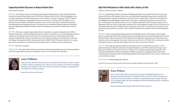#### Supporting Patient Educators to Reduce Patient Harm

Anne Williams, PharmD

**PURPOSE:** The reduction of harm associated with anticoagulation therapy has been a focus of the Joint National Committee's National Patient Safety Goals (JNC NPSG) over the past decade. The JNC NPSG also highlights face-toface patient education and standardized practices to reduce this harm. To address these goals, UPMC St. Margaret launched a bed-side pharmacy anticoagulation education consult service in January 2018. Through this service pharmacists have provided over 800 patient education sessions. However, there lacks a standardized protocol for providing inpatient anticoagulation education. This project aims to standardized inpatient, pharmacist-led patient education regarding anticoagulation therapy to improve intra-pharmacist consistency and pharmacist comfort as educators.

**METHODS:** This study is a quality improvement initiative conducted in an inpatient orthopedic unit at UPMC St. Margaret. Pharmacists' comfort providing education was assessed via anonymous surveys. Data regarding consistency of education was collected via direct observation. Surveys and observations were conducted prior to and after education standardization. Education standardization was developed according to pre-standardization results and the Michigan Anticoagulation Quality Improvement Initiative (MAQI) Toolkit. The primary objective is to compare pharmacists' perspectives and consistency of patient education prior to and after protocol standardization.

**RESULTS:** Research is in progress.

**CONCLUSIONS:** The results of this study have the potential to demonstrate the importance of providing standardized protocols to support patient education. In doing this, it may serve as a model for other institutions.

![](_page_26_Picture_6.jpeg)

#### **Anne Williams**

Anne received her PharmD from the University of Maryland, School of Pharmacy and is currently at UPMC St. Margaret completing a PGY-1 Pharmacy Practice Residency and Faculty Development Fellowship. Upon completion, Anne will continue her training at St. Margaret, completing a PGY-2 Ambulatory Care Pharmacy Resident.

Mentor(s): Alex Rivosecchi, PharmD

#### High-Risk Medications in Older Adults with a History of Falls

Wilson E, Leman K, D'Amico F, Sakely H

**PURPOSE:** Approximately a third of community-dwelling people aged 65 years and older fall at least once per year. Injurious falls such as falls leading to hip fractures are devastating and significantly impact patients' quality of life. Medication burden is a significant contributor to patients' fall risk. An updated Beers Criteria was released this year and highlights potentially inappropriate medications older adults, outlining specific medication classes that may pose a risk in patients with a history of falls or fracture. Orthostatic hypotension (OH) has also been shown to be an independent risk factor for falls in older adults, upwards of 20% of the population over age 65 have OH. Risk factors for OH include medications such as antihypertensives. The purpose of this study is to describe the current practice of an outpatient geriatrics primary care center in terms of high-risk medication use in patients who have been hospitalized for a fall.

**METHODS:** Patients were identified through admission ICD-10 billing codes for a fall. Inclusion criteria includes primary care physician (PCP) within the geriatric practice and hospital admission within the hospital system for a fall between October 1, 2015 and December 31, 2017. Medications upon admission and discharge were collected as well as orthostatic vitals and demographic information. Patients were noted to have a PCP office visit 6 months prior to and/or following the admission, and medication changes and vitals at these visits were also collected.

**RESULTS:** The average age of patients included in this analysis was 84 years old and 76% were female. 51.7% of patients had changes to high-risk medications during their hospital stay, and 29.3% of patients had changes to antihypertensive medications. Orthostatic vitals were checked on 22.4% of patients during hospital admission. 63.8% of patients hospitalized for a fall were discharged to a skilled nursing facility. Ongoing data analysis will include evaluating specific medication classes used during hospitalization and outpatient office visits, as well as outcomes such as recurrent falls and death.

**CONCLUSIONS:** Pending ongoing data collection

*Presented At: American Geriatrics Society 2019 Annual Scientific Meeting; Portland, OR; May 3, 2019*

![](_page_26_Picture_17.jpeg)

#### **Erica Wilson**

Erica is from Frederick, MD, and attended the University of Pittsburgh for both her B.S. in Bioengineering and her PharmD. She completed her PGY1 residency at UPMC St. Margaret and continued on to her PGY2 residency in Geriatrics. Her professional interests include transitions of care and deprescribing. She enjoys spending time with her husband and children, cooking, and exploring Pittsburgh.

Mentor(s): Heather Sakely, PharmD, BCPS, BCGP; Krista Leman, DO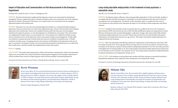#### Impact of Education and Communication on Pain Reassessment in the Emergency Department

Wissman KM, Cassidy EA, Hoy CA, Vissari T, Baumgartner, MA

**PURPOSE:** The Joint Commission has emphasized the importance of pain score reassessment for optimal pain management. However, supporting evidence to identify and improve pain score reassessment rates in the emergency department is limited. The purpose of this project was to improve pain score reassessment rates for emergency department patients with extremity pain.

**METHODS:** This project was a pre-post interventional design that took place in a community hospital emergency department. Pain reassessment rates were observed for adult patients (age, ≥18 years) who presented to the emergency department with extremity pain. Patients were excluded if they presented with chest pain, received analgesic medication for antipyretic purposes, or were discharged prior to scheduled pain reassessment. Three interventions were implemented to improve pain score reassessment rates. 1) Focus groups were completed to identify nursing barriers and educate nurses on the importance of pain reassessment to improve pain management. 2) Daily audits were utilized to communicate positive reinforcement and constructive feedback to individual nurses. 3) Weekly newsletters provided a source of ongoing education and continuous staff feedback on the department-wide rates of pain re-assessments. The frequency of pain score reassessment documentation by individual nurses was collected for three months prior to and three months after implementation of these interventions.

#### **RESULTS:** Pending

**CONCLUSIONS:** This quality improvement project will be used to promote communication, improve documentation of pain score reassessment rates, and provide patients enhanced pain management in the emergency department. It will also facilitate future research on improving pain control with the possibility of minimizing opioid use.

*Presented at the 52nd Annual Society of Teachers of Family Medicine Meeting, Toronto, Canada, 2019*

![](_page_27_Picture_7.jpeg)

#### **Kevin Wissman**

Kevin is from Albert, KS. He received his PharmD from the University of Kansas and bachelor's in science degree in psychology from Kansas State University. He is currently training as a PGY1 in pharmacy practice at UPMC St. Margaret. Next year he will complete a PGY2 in family medicine at UPMC St. Margaret. His professional interests include family medicine, global health, serving the underserved and uninsured population, and interprofessional collaboration. Outside of pharmacy Kevin enjoys cycling, hiking, backpacking, trail running, and volunteering.

Mentor(s): Megan Baumgartner, PharmD, BCPS

#### Long-acting injectable antipsychotics in the treatment of early psychosis: a naturalistic study

Yabs MC; Carr CN; Sarpal DK; Kirisci L; Fabian TJ

**PURPOSE:** Developed to improve adherence, long-acting injectable antipsychotics (LAIA) are biweekly, monthly, or tri-monthly injections that allow for patients to consistently receive their medication when they may be otherwise non-adherent on an oral antipsychotic. The objective of this naturalistic study is to evaluate the time course of LAIA initiation in early psychosis and to determine the impact of LAIA therapy on illness progression and clinical outcomes.

**METHODS:** Included in this naturalistic study were patients that were enrolled in the Services for Treatment of Early Psychoses (STEP) clinic between the years of 2013 and 2016 and filled prescriptions for antipsychotics at Forbes Pharmacy. Retrospective data on patient demographics, medications, dosages, dates of prescription fills and dates of psychiatric hospital admissions were extracted. Patients that received LAIAs were then matched with patients maintained on oral antipsychotics based on sex, age, and race. The number of psychiatric hospital admissions was compared between the two groups.

**RESULTS:** There were 286 patients that filled prescriptions for antipsychotics at Forbes Pharmacy from 2013 to 2017, 42 of which received LAIAs. The average age of those receiving LAIAs was 22.8 years for males (n=24) and 23.8 years for females (n=18). The most common LAIA prescribed was paliperidone palmitate (n=18, 43%), most often prescribed at the highest dose of 234 mg monthly (n=11). The average number of psychiatric hospital admissions per patient prior to LAIA initiation was 0.93, and after LAIA initiation was 0.31. The average number of psychiatric hospital admissions for patients maintained on oral antipsychotic therapy was 1.2.

**CONCLUSIONS:** LAIA initiation in early psychosis may correlate with better outcomes as measured by psychiatric hospitalization admissions when compared to those maintained on oral antipsychotic therapy.

*Presented At: University of Pittsburgh, Department of Psychiatry Research Day, Pittsburgh, PA, June 2018.*

![](_page_27_Picture_18.jpeg)

#### **Melanie Yabs**

Melanie is from Dallas, Texas. She received her MS in Applied Cognition and Neuroscience from the University of Texas at Dallas, and her PharmD from the University of Texas at Austin. Currently a PGY-1 pharmacy resident at UPMC Western Psychiatric Hospital, Melanie has had a long-standing interest in mental health, particularly the treatment of eating disorders and schizophrenia. In her spare time, Melanie enjoys hiking, traveling with friends, and attending festivals around town.

Mentor(s): Chelsea N. Carr, PharmD, BCPS; Deepak K. Sarpal, MD; Levent Kirisci, PhD; Tanya J. Fabian, PharmD, PhD, BCPP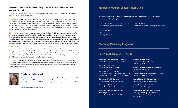#### Evaluation of Antibiotic Duration for Early Onset Sepsis Rule Out in a Neonatal Intensive Care Unit

Christine L. Zdaniewski, PharmD - PGYI Pharmacy Resident, Sarah Moffett, PharmD, BCPS - Clinical Pharmacy Specialist, UPMC Hamot Medical Center

**BACKGROUND:** Sepsis in neonates is classified as either early or late onset; early-onset sepsis typically refers to infants with sepsis onset within the first four days of life. When neonates present with risk factors or signs of early onset sepsis, antibiotics are promptly initiated due to the high morbidity and mortality associated with this disease state. Although the need for antibiotics is justified, prolonged courses are associated with risks. There is increasing data demonstrating that the majority of blood cultures that result positive during early-onset sepsis evaluation will do so within 24 to 36 hours of specimen collection.

**METHODS:** A retrospective review of neonates admitted to the NICU at UPMC Hamot that received antibiotics for early onset sepsis rule out was performed. Demographic data was collected for each patient in addition to specific blood culture, laboratory, and antibiotic data. The primary outcome for this analysis was the number of excessive doses administered to early onset sepsis rule out patients. Secondary outcomes included the number of patients being treated past 36 hours that ended up having a negative blood culture report at 48 hours, the number of additional blood culture draws between 36 and 48 hours, and the financial impact of these extra doses from pharmacy's point of view.

**RESULTS:** 200 neonatal charts were randomly reviewed for this study. 907 doses of antibiotics were administered to patients who met inclusion criteria. 90 excessive doses of antibiotics were administered to neonates that underwent the early-onset sepsis rule out and had antibiotics discontinued after the rule out period. Of the neonates that met inclusion criteria, none had a positive blood culture and none had additional blood cultures drawn between 36 and 48 hours. From a cost standpoint, \$1,243.45 was spent on doses of antibiotics administered during the rule out period; 10% of this total cost consisted of antibiotic doses administered in excess.

**CONCLUSIONS:** Based on the findings of this study, it appears that the number of antibiotic doses could safely be decreased during the 48 hour, early onset sepsis rule out period. An expected cost savings would be seen from decreased hospital length of stay and antibiotic cost savings. Additionally, there would be an overall decrease in neonatal antibiotic exposure.

![](_page_28_Picture_6.jpeg)

#### **Christine Zdaniewski**

Christine is from Erie, Pennsylvania. She received her PharmD from Duquesne University in 2018 and is currently a PGYI pharmacy resident at UPMC Hamot. She has accepted a decentralized, clinical pharmacist position at UPMC Hamot to begin after residency and plans to pursue BCPS certification.

Mentor(s): Sarah Moffett, PharmD, BCPS

### **Residency Program Contact Information**

**University of Pittsburgh School of PharmacyDepartment of Pharmacy and Therapeutics Pharmacy Residency Program**

Amy L. Seybert, PharmD, FASHP, FCCP, CHSE Chair of Pharmacy and Therapeutics, Professor 5607 Baum Boulevard Room 303 Pittsburgh, PA 15206

seyberta@pitt.edu http://pharmacy.pitt.edu/Programs/Residency/ index.php

### **Pharmacy Residency Programs**

### **Post Graduate Year 1 (PGY1)**

**Pharmacy at UPMC Presbyterian Shadyside** Director: Heather Johnson, PharmD, BCPS

**Pharmacy at UPMC Mercy** Director: Robert Simonelli, PharmD

**Pharmacy at UPMC St. Margaret** Director: Gregory Castelli, PharmD, BCPS, BC-ADM Assistant Director: Patricia Klatt, PharmD, BCPS

**Pharmacy at UPMC McKeesport** Director: Nicole D'Antonio, PharmD, BCPS

**Pharmacy at UPMC Shadyside** Director: Michele Hebda, PharmD, BCPS

**Pharmacy at UPMC Children's Hospital of Pittsburgh** Director: Jennifer Shenk, PharmD, BCPS

**Pharmacy at UPMC Hamot** Director: Brad E. Cooper, PharmD, MBA, DPLA, FCCM

**Pharmacy at UPMC Magee-Womens Hospital** Director: Julie Nowak, RPh, BCGP, FASCP

**Pharmacy at UPMC Western Psychiatric Hospital** Director: Matthew Joseph, PharmD, BCPS

**Managed Care at UPMC Health Plan** Director: Molly McGraw, PharmD, BCPS

**Managed Care at CVS Caremark** Director: Jennifer Heasley, PharmD

**Community Pharmacy: Rite Aid Pharmacy, Giant Eagle Pharmacy, Asti's Pharmacy** Director: Melissa Somma McGivney, PharmD, FCCP, FAPhA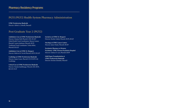## **Pharmacy Residency Programs**

# **PGY1/PGY2 Health-System Pharmacy Administration**

**UPMC Presbyterian Shadyside** Director: Alfred A. L'Altrelli, PharmD

### **Post Graduate Year 2 (PGY2)**

**Ambulatory Care at UPMC Presbyterian Shadyside** Director: Deanne Hall, PharmD, CDE, BCACP Global Health Track Coordinators: Sharon Connor, PharmD, Lauren Jonkman, PharmD, BCPS Traditional Track Coordinator: Trisha Miller, PharmD, BCACP

**Ambulatory Care at UPMC St. Margaret** Director: Roberta M. Farrah PharmD, BCPS, BCACP

**Cardiology at UPMC Presbyterian Shadyside** Director: James Coons, PharmD, FCCP, BCPS-AQ Cardiology

**Critical Care at UPMC Presbyterian Shadyside** Director: Pamela Smithburger, PharmD, MS, BCPS, BCCCP, FCCP

**Geriatrics at UPMC St. Margaret**  Director: Heather Sakely, PharmD, BCPS, BCGP

**Oncology at UPMC Cancer Centers**  Director: James Natale, PharmD, BCOP

**Psychiatric Pharmacy at Western Psychiatric UPMC Western Psychiatric Hospital**  Director: Chelsea N. Carr, PharmD, BCPP

**Solid Organ Transplantation at UPMC Presbyterian Shadyside** Director: Kristine Schonder, PharmD